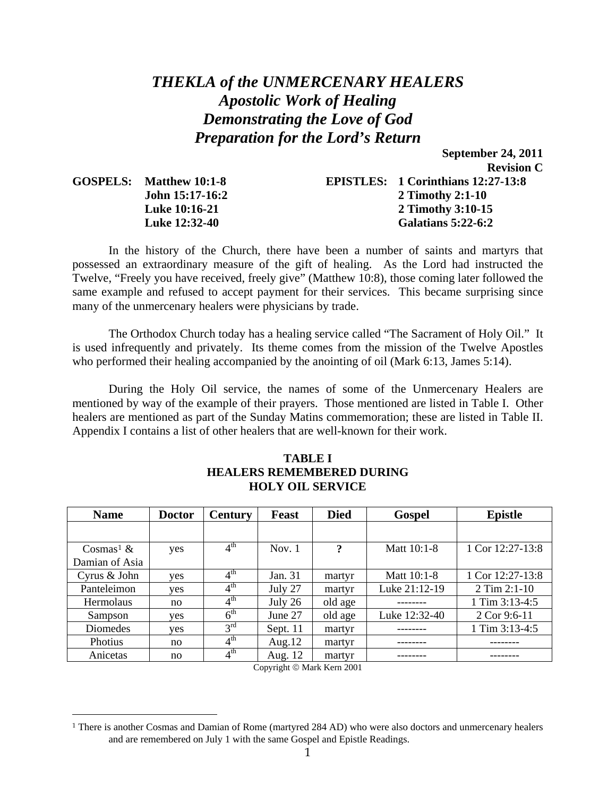# *THEKLA of the UNMERCENARY HEALERS Apostolic Work of Healing Demonstrating the Love of God Preparation for the Lord's Return*

**September 24, 2011** 

|                         | <b>Revision C</b>                         |
|-------------------------|-------------------------------------------|
| GOSPELS: Matthew 10:1-8 | <b>EPISTLES:</b> 1 Corinthians 12:27-13:8 |
| John 15:17-16:2         | 2 Timothy 2:1-10                          |
| <b>Luke 10:16-21</b>    | 2 Timothy 3:10-15                         |
| <b>Luke 12:32-40</b>    | <b>Galatians 5:22-6:2</b>                 |

In the history of the Church, there have been a number of saints and martyrs that possessed an extraordinary measure of the gift of healing. As the Lord had instructed the Twelve, "Freely you have received, freely give" (Matthew 10:8), those coming later followed the same example and refused to accept payment for their services. This became surprising since many of the unmercenary healers were physicians by trade.

 The Orthodox Church today has a healing service called "The Sacrament of Holy Oil." It is used infrequently and privately. Its theme comes from the mission of the Twelve Apostles who performed their healing accompanied by the anointing of oil (Mark 6:13, James 5:14).

 During the Holy Oil service, the names of some of the Unmercenary Healers are mentioned by way of the example of their prayers. Those mentioned are listed in Table I. Other healers are mentioned as part of the Sunday Matins commemoration; these are listed in Table II. Appendix I contains a list of other healers that are well-known for their work.

| <b>HOLY OIL SERVICE</b> |               |                            |           |             |               |                    |
|-------------------------|---------------|----------------------------|-----------|-------------|---------------|--------------------|
| <b>Name</b>             | <b>Doctor</b> | <b>Century</b>             | Feast     | <b>Died</b> | <b>Gospel</b> | <b>Epistle</b>     |
|                         |               |                            |           |             |               |                    |
| $Cosmas1$ &             | yes           | 4 <sup>th</sup>            | Nov. $1$  | $\ddot{?}$  | Matt 10:1-8   | 1 Cor $12:27-13:8$ |
| Damian of Asia          |               |                            |           |             |               |                    |
| Cyrus & John            | yes           | $4^{\text{th}}$            | Jan. 31   | martyr      | Matt 10:1-8   | 1 Cor 12:27-13:8   |
| Panteleimon             | yes           | $4^{\text{th}}$            | July 27   | martyr      | Luke 21:12-19 | 2 Tim $2:1-10$     |
| Hermolaus               | no            | $4^{\text{th}}$            | July $26$ | old age     |               | 1 Tim $3:13-4:5$   |
| Sampson                 | yes           | $\overline{6}^{\text{th}}$ | June 27   | old age     | Luke 12:32-40 | $2$ Cor 9:6-11     |
| Diomedes                | yes           | $3^{\text{rd}}$            | Sept. 11  | martyr      |               | 1 Tim 3:13-4:5     |
| Photius                 | no            | $4^{\text{th}}$            | Aug. $12$ | martyr      |               |                    |
| Anicetas                | no            | $4^{\text{th}}$            | Aug. 12   | martyr      |               |                    |

## **TABLE I HEALERS REMEMBERED DURING HOLY OIL SERVICE**

Copyright © Mark Kern 2001

 $\overline{a}$ 

<span id="page-0-0"></span><sup>1</sup> There is another Cosmas and Damian of Rome (martyred 284 AD) who were also doctors and unmercenary healers and are remembered on July 1 with the same Gospel and Epistle Readings.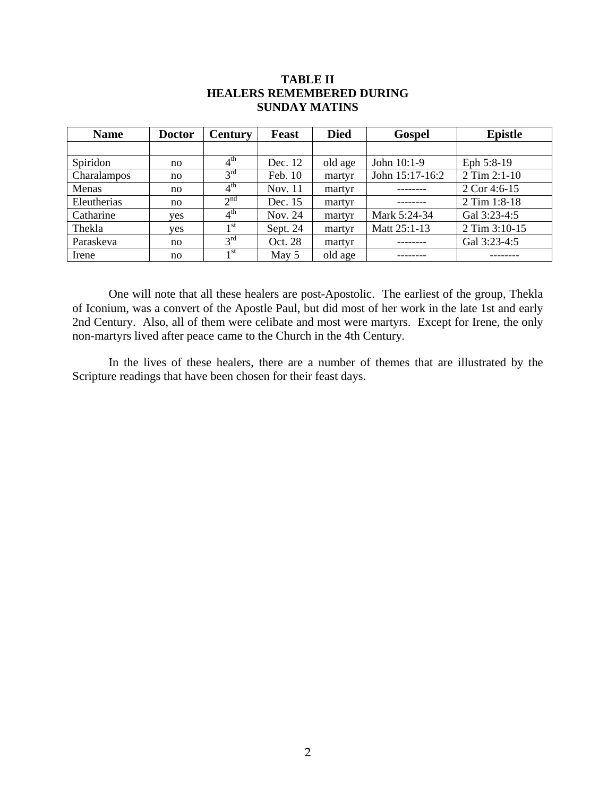| <u>DOIDIAA IIIAAH ID</u> |               |                            |              |             |                 |                |
|--------------------------|---------------|----------------------------|--------------|-------------|-----------------|----------------|
| <b>Name</b>              | <b>Doctor</b> | <b>Century</b>             | <b>Feast</b> | <b>Died</b> | <b>Gospel</b>   | <b>Epistle</b> |
|                          |               |                            |              |             |                 |                |
| Spiridon                 | no            | $4^{\text{th}}$            | Dec. 12      | old age     | John $10:1-9$   | Eph 5:8-19     |
| Charalampos              | no            | 3 <sup>rd</sup>            | Feb. 10      | martyr      | John 15:17-16:2 | 2 Tim 2:1-10   |
| Menas                    | no            | $4^{\text{th}}$            | Nov. 11      | martyr      |                 | 2 Cor 4:6-15   |
| Eleutherias              | no            | 2 <sup>nd</sup>            | Dec. 15      | martyr      |                 | 2 Tim 1:8-18   |
| Catharine                | yes           | $\overline{4}^{\text{th}}$ | Nov. 24      | martyr      | Mark 5:24-34    | Gal 3:23-4:5   |
| Thekla                   | yes           | 1 <sup>st</sup>            | Sept. 24     | martyr      | Matt 25:1-13    | 2 Tim 3:10-15  |
| Paraskeva                | no            | 3 <sup>rd</sup>            | Oct. 28      | martyr      |                 | Gal 3:23-4:5   |
| Irene                    | no            | 1 <sup>st</sup>            | May 5        | old age     |                 |                |

## **TABLE II HEALERS REMEMBERED DURING SUNDAY MATINS**

One will note that all these healers are post-Apostolic. The earliest of the group, Thekla of Iconium, was a convert of the Apostle Paul, but did most of her work in the late 1st and early 2nd Century. Also, all of them were celibate and most were martyrs. Except for Irene, the only non-martyrs lived after peace came to the Church in the 4th Century.

In the lives of these healers, there are a number of themes that are illustrated by the Scripture readings that have been chosen for their feast days.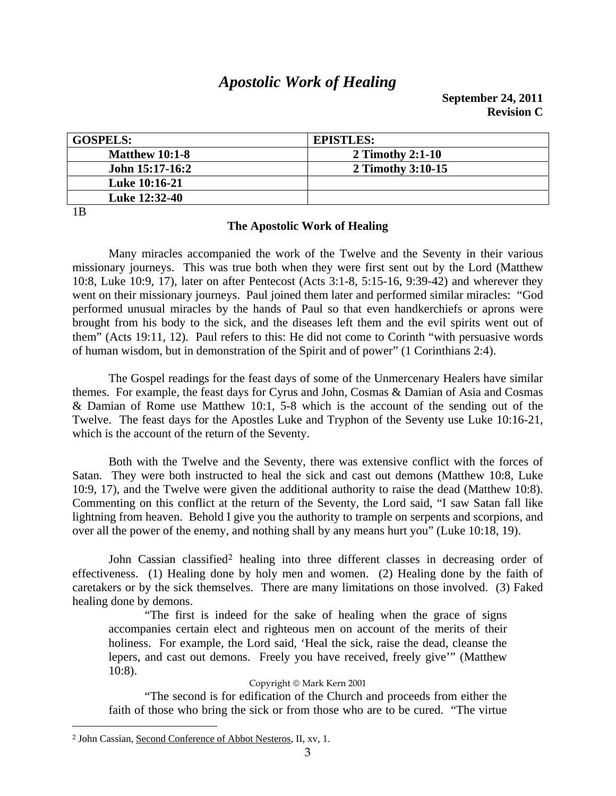# *Apostolic Work of Healing*

| <b>GOSPELS:</b>       | <b>EPISTLES:</b>  |
|-----------------------|-------------------|
| <b>Matthew 10:1-8</b> | 2 Timothy 2:1-10  |
| John 15:17-16:2       | 2 Timothy 3:10-15 |
| <b>Luke 10:16-21</b>  |                   |
| Luke 12:32-40         |                   |

1B

 $\overline{a}$ 

### **The Apostolic Work of Healing**

Many miracles accompanied the work of the Twelve and the Seventy in their various missionary journeys. This was true both when they were first sent out by the Lord (Matthew 10:8, Luke 10:9, 17), later on after Pentecost (Acts 3:1-8, 5:15-16, 9:39-42) and wherever they went on their missionary journeys. Paul joined them later and performed similar miracles: "God performed unusual miracles by the hands of Paul so that even handkerchiefs or aprons were brought from his body to the sick, and the diseases left them and the evil spirits went out of them" (Acts 19:11, 12). Paul refers to this: He did not come to Corinth "with persuasive words of human wisdom, but in demonstration of the Spirit and of power" (1 Corinthians 2:4).

The Gospel readings for the feast days of some of the Unmercenary Healers have similar themes. For example, the feast days for Cyrus and John, Cosmas & Damian of Asia and Cosmas & Damian of Rome use Matthew 10:1, 5-8 which is the account of the sending out of the Twelve. The feast days for the Apostles Luke and Tryphon of the Seventy use Luke 10:16-21, which is the account of the return of the Seventy.

Both with the Twelve and the Seventy, there was extensive conflict with the forces of Satan. They were both instructed to heal the sick and cast out demons (Matthew 10:8, Luke 10:9, 17), and the Twelve were given the additional authority to raise the dead (Matthew 10:8). Commenting on this conflict at the return of the Seventy, the Lord said, "I saw Satan fall like lightning from heaven. Behold I give you the authority to trample on serpents and scorpions, and over all the power of the enemy, and nothing shall by any means hurt you" (Luke 10:18, 19).

John Cassian classified<sup>[2](#page-2-0)</sup> healing into three different classes in decreasing order of effectiveness. (1) Healing done by holy men and women. (2) Healing done by the faith of caretakers or by the sick themselves. There are many limitations on those involved. (3) Faked healing done by demons.

"The first is indeed for the sake of healing when the grace of signs accompanies certain elect and righteous men on account of the merits of their holiness. For example, the Lord said, 'Heal the sick, raise the dead, cleanse the lepers, and cast out demons. Freely you have received, freely give'" (Matthew 10:8).

### Copyright © Mark Kern 2001

"The second is for edification of the Church and proceeds from either the faith of those who bring the sick or from those who are to be cured. "The virtue

<span id="page-2-0"></span><sup>2</sup> John Cassian, Second Conference of Abbot Nesteros, II, xv, 1.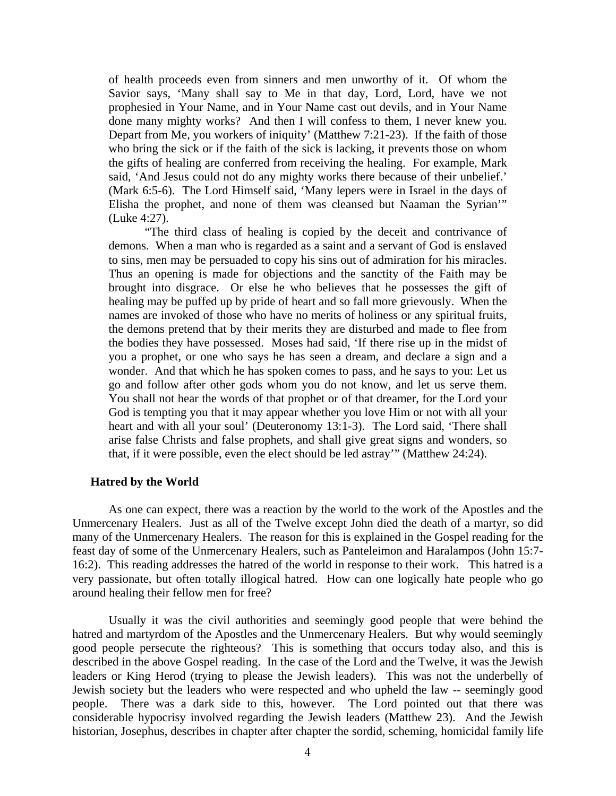of health proceeds even from sinners and men unworthy of it. Of whom the Savior says, 'Many shall say to Me in that day, Lord, Lord, have we not prophesied in Your Name, and in Your Name cast out devils, and in Your Name done many mighty works? And then I will confess to them, I never knew you. Depart from Me, you workers of iniquity' (Matthew 7:21-23). If the faith of those who bring the sick or if the faith of the sick is lacking, it prevents those on whom the gifts of healing are conferred from receiving the healing. For example, Mark said, 'And Jesus could not do any mighty works there because of their unbelief.' (Mark 6:5-6). The Lord Himself said, 'Many lepers were in Israel in the days of Elisha the prophet, and none of them was cleansed but Naaman the Syrian'" (Luke 4:27).

"The third class of healing is copied by the deceit and contrivance of demons. When a man who is regarded as a saint and a servant of God is enslaved to sins, men may be persuaded to copy his sins out of admiration for his miracles. Thus an opening is made for objections and the sanctity of the Faith may be brought into disgrace. Or else he who believes that he possesses the gift of healing may be puffed up by pride of heart and so fall more grievously. When the names are invoked of those who have no merits of holiness or any spiritual fruits, the demons pretend that by their merits they are disturbed and made to flee from the bodies they have possessed. Moses had said, 'If there rise up in the midst of you a prophet, or one who says he has seen a dream, and declare a sign and a wonder. And that which he has spoken comes to pass, and he says to you: Let us go and follow after other gods whom you do not know, and let us serve them. You shall not hear the words of that prophet or of that dreamer, for the Lord your God is tempting you that it may appear whether you love Him or not with all your heart and with all your soul' (Deuteronomy 13:1-3). The Lord said, 'There shall arise false Christs and false prophets, and shall give great signs and wonders, so that, if it were possible, even the elect should be led astray'" (Matthew 24:24).

### **Hatred by the World**

As one can expect, there was a reaction by the world to the work of the Apostles and the Unmercenary Healers. Just as all of the Twelve except John died the death of a martyr, so did many of the Unmercenary Healers. The reason for this is explained in the Gospel reading for the feast day of some of the Unmercenary Healers, such as Panteleimon and Haralampos (John 15:7- 16:2). This reading addresses the hatred of the world in response to their work. This hatred is a very passionate, but often totally illogical hatred. How can one logically hate people who go around healing their fellow men for free?

Usually it was the civil authorities and seemingly good people that were behind the hatred and martyrdom of the Apostles and the Unmercenary Healers. But why would seemingly good people persecute the righteous? This is something that occurs today also, and this is described in the above Gospel reading. In the case of the Lord and the Twelve, it was the Jewish leaders or King Herod (trying to please the Jewish leaders). This was not the underbelly of Jewish society but the leaders who were respected and who upheld the law -- seemingly good people. There was a dark side to this, however. The Lord pointed out that there was considerable hypocrisy involved regarding the Jewish leaders (Matthew 23). And the Jewish historian, Josephus, describes in chapter after chapter the sordid, scheming, homicidal family life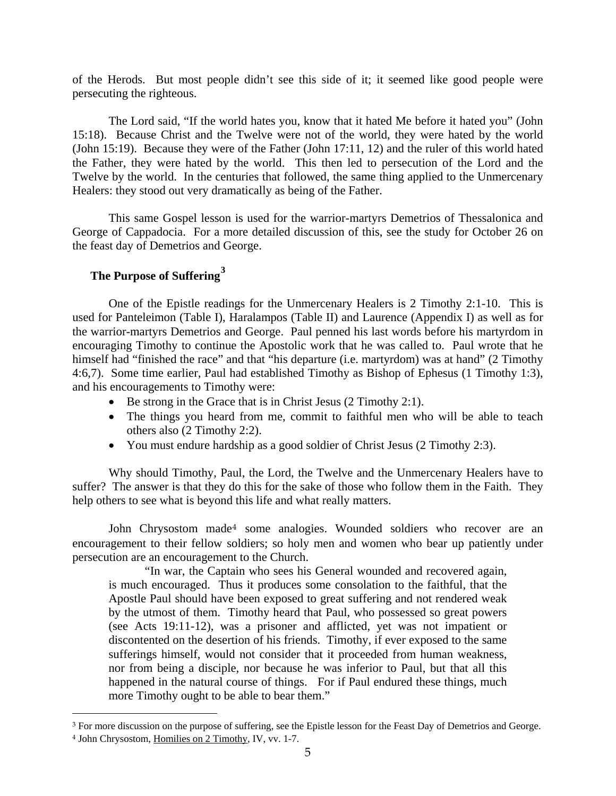of the Herods. But most people didn't see this side of it; it seemed like good people were persecuting the righteous.

The Lord said, "If the world hates you, know that it hated Me before it hated you" (John 15:18). Because Christ and the Twelve were not of the world, they were hated by the world (John 15:19). Because they were of the Father (John 17:11, 12) and the ruler of this world hated the Father, they were hated by the world. This then led to persecution of the Lord and the Twelve by the world. In the centuries that followed, the same thing applied to the Unmercenary Healers: they stood out very dramatically as being of the Father.

This same Gospel lesson is used for the warrior-martyrs Demetrios of Thessalonica and George of Cappadocia. For a more detailed discussion of this, see the study for October 26 on the feast day of Demetrios and George.

## **The Purpose of Suffering[3](#page-4-0)**

One of the Epistle readings for the Unmercenary Healers is 2 Timothy 2:1-10. This is used for Panteleimon (Table I), Haralampos (Table II) and Laurence (Appendix I) as well as for the warrior-martyrs Demetrios and George. Paul penned his last words before his martyrdom in encouraging Timothy to continue the Apostolic work that he was called to. Paul wrote that he himself had "finished the race" and that "his departure (i.e. martyrdom) was at hand" (2 Timothy 4:6,7). Some time earlier, Paul had established Timothy as Bishop of Ephesus (1 Timothy 1:3), and his encouragements to Timothy were:

- Be strong in the Grace that is in Christ Jesus (2 Timothy 2:1).
- The things you heard from me, commit to faithful men who will be able to teach others also (2 Timothy 2:2).
- You must endure hardship as a good soldier of Christ Jesus (2 Timothy 2:3).

Why should Timothy, Paul, the Lord, the Twelve and the Unmercenary Healers have to suffer? The answer is that they do this for the sake of those who follow them in the Faith. They help others to see what is beyond this life and what really matters.

John Chrysostom made[4](#page-4-1) some analogies. Wounded soldiers who recover are an encouragement to their fellow soldiers; so holy men and women who bear up patiently under persecution are an encouragement to the Church.

"In war, the Captain who sees his General wounded and recovered again, is much encouraged. Thus it produces some consolation to the faithful, that the Apostle Paul should have been exposed to great suffering and not rendered weak by the utmost of them. Timothy heard that Paul, who possessed so great powers (see Acts 19:11-12), was a prisoner and afflicted, yet was not impatient or discontented on the desertion of his friends. Timothy, if ever exposed to the same sufferings himself, would not consider that it proceeded from human weakness, nor from being a disciple, nor because he was inferior to Paul, but that all this happened in the natural course of things. For if Paul endured these things, much more Timothy ought to be able to bear them."

 $\overline{a}$ 

<span id="page-4-0"></span><sup>3</sup> For more discussion on the purpose of suffering, see the Epistle lesson for the Feast Day of Demetrios and George.

<span id="page-4-1"></span><sup>4</sup> John Chrysostom, Homilies on 2 Timothy, IV, vv. 1-7.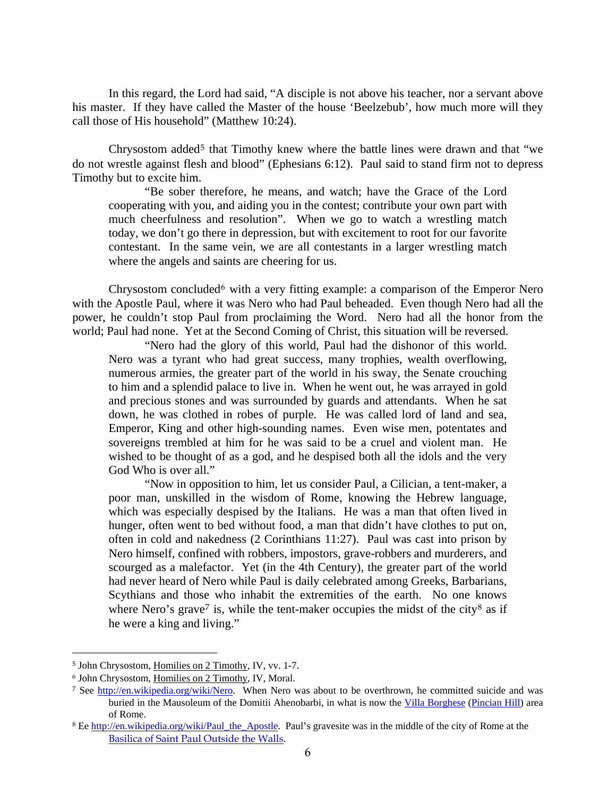In this regard, the Lord had said, "A disciple is not above his teacher, nor a servant above his master. If they have called the Master of the house 'Beelzebub', how much more will they call those of His household" (Matthew 10:24).

Chrysostom added<sup>[5](#page-5-0)</sup> that Timothy knew where the battle lines were drawn and that "we do not wrestle against flesh and blood" (Ephesians 6:12). Paul said to stand firm not to depress Timothy but to excite him.

"Be sober therefore, he means, and watch; have the Grace of the Lord cooperating with you, and aiding you in the contest; contribute your own part with much cheerfulness and resolution". When we go to watch a wrestling match today, we don't go there in depression, but with excitement to root for our favorite contestant. In the same vein, we are all contestants in a larger wrestling match where the angels and saints are cheering for us.

Chrysostom concluded<sup>[6](#page-5-1)</sup> with a very fitting example: a comparison of the Emperor Nero with the Apostle Paul, where it was Nero who had Paul beheaded. Even though Nero had all the power, he couldn't stop Paul from proclaiming the Word. Nero had all the honor from the world; Paul had none. Yet at the Second Coming of Christ, this situation will be reversed.

"Nero had the glory of this world, Paul had the dishonor of this world. Nero was a tyrant who had great success, many trophies, wealth overflowing, numerous armies, the greater part of the world in his sway, the Senate crouching to him and a splendid palace to live in. When he went out, he was arrayed in gold and precious stones and was surrounded by guards and attendants. When he sat down, he was clothed in robes of purple. He was called lord of land and sea, Emperor, King and other high-sounding names. Even wise men, potentates and sovereigns trembled at him for he was said to be a cruel and violent man. He wished to be thought of as a god, and he despised both all the idols and the very God Who is over all."

"Now in opposition to him, let us consider Paul, a Cilician, a tent-maker, a poor man, unskilled in the wisdom of Rome, knowing the Hebrew language, which was especially despised by the Italians. He was a man that often lived in hunger, often went to bed without food, a man that didn't have clothes to put on, often in cold and nakedness (2 Corinthians 11:27). Paul was cast into prison by Nero himself, confined with robbers, impostors, grave-robbers and murderers, and scourged as a malefactor. Yet (in the 4th Century), the greater part of the world had never heard of Nero while Paul is daily celebrated among Greeks, Barbarians, Scythians and those who inhabit the extremities of the earth. No one knows where Nero's grave<sup>[7](#page-5-2)</sup> is, while the tent-maker occupies the midst of the city<sup>[8](#page-5-3)</sup> as if he were a king and living."

 $\overline{a}$ 

<span id="page-5-0"></span><sup>5</sup> John Chrysostom, Homilies on 2 Timothy, IV, vv. 1-7.

<span id="page-5-1"></span><sup>6</sup> John Chrysostom, Homilies on 2 Timothy, IV, Moral.

<span id="page-5-2"></span><sup>&</sup>lt;sup>7</sup> See [http://en.wikipedia.org/wiki/Nero.](http://en.wikipedia.org/wiki/Nero) When Nero was about to be overthrown, he committed suicide and was buried in the Mausoleum of the Domitii Ahenobarbi, in what is now the [Villa Borghese](http://en.wikipedia.org/wiki/Villa_Borghese) ([Pincian Hill](http://en.wikipedia.org/wiki/Pincian_Hill)) area of Rome.

<span id="page-5-3"></span><sup>&</sup>lt;sup>8</sup> Ee [http://en.wikipedia.org/wiki/Paul\\_the\\_Apostle](http://en.wikipedia.org/wiki/Paul_the_Apostle). Paul's gravesite was in the middle of the city of Rome at the [Basilica of Saint Paul Outside the Walls](http://en.wikipedia.org/wiki/Basilica_of_Saint_Paul_Outside_the_Walls).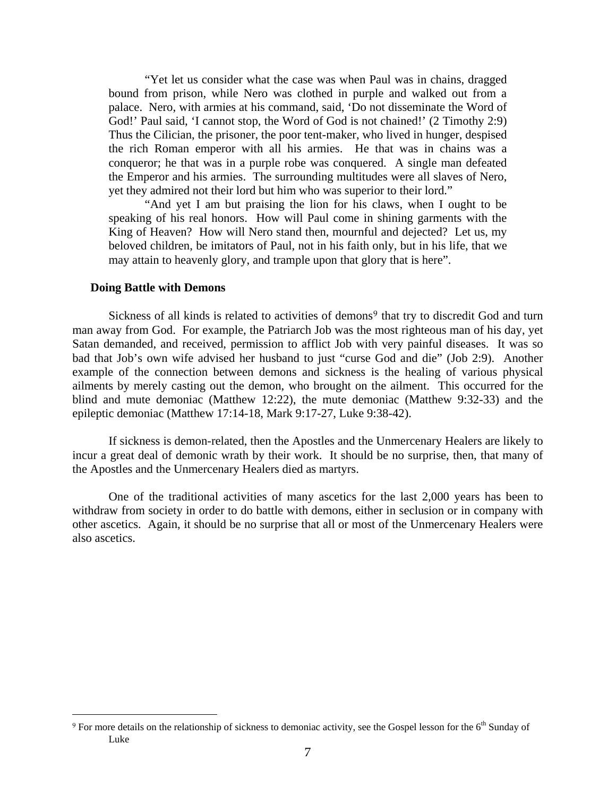"Yet let us consider what the case was when Paul was in chains, dragged bound from prison, while Nero was clothed in purple and walked out from a palace. Nero, with armies at his command, said, 'Do not disseminate the Word of God!' Paul said, 'I cannot stop, the Word of God is not chained!' (2 Timothy 2:9) Thus the Cilician, the prisoner, the poor tent-maker, who lived in hunger, despised the rich Roman emperor with all his armies. He that was in chains was a conqueror; he that was in a purple robe was conquered. A single man defeated the Emperor and his armies. The surrounding multitudes were all slaves of Nero, yet they admired not their lord but him who was superior to their lord."

"And yet I am but praising the lion for his claws, when I ought to be speaking of his real honors. How will Paul come in shining garments with the King of Heaven? How will Nero stand then, mournful and dejected? Let us, my beloved children, be imitators of Paul, not in his faith only, but in his life, that we may attain to heavenly glory, and trample upon that glory that is here".

### **Doing Battle with Demons**

 $\overline{a}$ 

Sickness of all kinds is related to activities of demons[9](#page-6-0) that try to discredit God and turn man away from God. For example, the Patriarch Job was the most righteous man of his day, yet Satan demanded, and received, permission to afflict Job with very painful diseases. It was so bad that Job's own wife advised her husband to just "curse God and die" (Job 2:9). Another example of the connection between demons and sickness is the healing of various physical ailments by merely casting out the demon, who brought on the ailment. This occurred for the blind and mute demoniac (Matthew 12:22), the mute demoniac (Matthew 9:32-33) and the epileptic demoniac (Matthew 17:14-18, Mark 9:17-27, Luke 9:38-42).

If sickness is demon-related, then the Apostles and the Unmercenary Healers are likely to incur a great deal of demonic wrath by their work. It should be no surprise, then, that many of the Apostles and the Unmercenary Healers died as martyrs.

One of the traditional activities of many ascetics for the last 2,000 years has been to withdraw from society in order to do battle with demons, either in seclusion or in company with other ascetics. Again, it should be no surprise that all or most of the Unmercenary Healers were also ascetics.

<span id="page-6-0"></span><sup>&</sup>lt;sup>9</sup> For more details on the relationship of sickness to demoniac activity, see the Gospel lesson for the 6<sup>th</sup> Sunday of Luke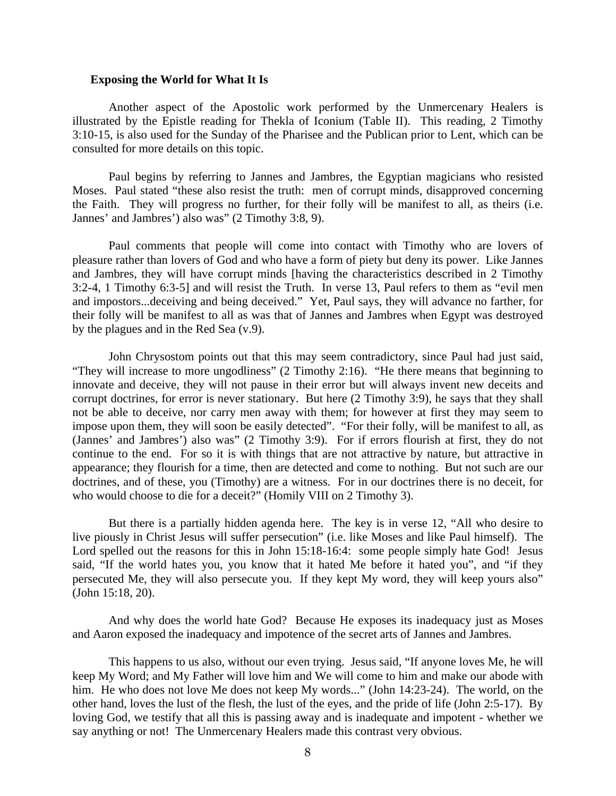#### **Exposing the World for What It Is**

 Another aspect of the Apostolic work performed by the Unmercenary Healers is illustrated by the Epistle reading for Thekla of Iconium (Table II). This reading, 2 Timothy 3:10-15, is also used for the Sunday of the Pharisee and the Publican prior to Lent, which can be consulted for more details on this topic.

 Paul begins by referring to Jannes and Jambres, the Egyptian magicians who resisted Moses. Paul stated "these also resist the truth: men of corrupt minds, disapproved concerning the Faith. They will progress no further, for their folly will be manifest to all, as theirs (i.e. Jannes' and Jambres') also was" (2 Timothy 3:8, 9).

 Paul comments that people will come into contact with Timothy who are lovers of pleasure rather than lovers of God and who have a form of piety but deny its power. Like Jannes and Jambres, they will have corrupt minds [having the characteristics described in 2 Timothy 3:2-4, 1 Timothy 6:3-5] and will resist the Truth. In verse 13, Paul refers to them as "evil men and impostors...deceiving and being deceived." Yet, Paul says, they will advance no farther, for their folly will be manifest to all as was that of Jannes and Jambres when Egypt was destroyed by the plagues and in the Red Sea (v.9).

 John Chrysostom points out that this may seem contradictory, since Paul had just said, "They will increase to more ungodliness" (2 Timothy 2:16). "He there means that beginning to innovate and deceive, they will not pause in their error but will always invent new deceits and corrupt doctrines, for error is never stationary. But here (2 Timothy 3:9), he says that they shall not be able to deceive, nor carry men away with them; for however at first they may seem to impose upon them, they will soon be easily detected". "For their folly, will be manifest to all, as (Jannes' and Jambres') also was" (2 Timothy 3:9). For if errors flourish at first, they do not continue to the end. For so it is with things that are not attractive by nature, but attractive in appearance; they flourish for a time, then are detected and come to nothing. But not such are our doctrines, and of these, you (Timothy) are a witness. For in our doctrines there is no deceit, for who would choose to die for a deceit?" (Homily VIII on 2 Timothy 3).

 But there is a partially hidden agenda here. The key is in verse 12, "All who desire to live piously in Christ Jesus will suffer persecution" (i.e. like Moses and like Paul himself). The Lord spelled out the reasons for this in John 15:18-16:4: some people simply hate God! Jesus said, "If the world hates you, you know that it hated Me before it hated you", and "if they persecuted Me, they will also persecute you. If they kept My word, they will keep yours also" (John 15:18, 20).

 And why does the world hate God? Because He exposes its inadequacy just as Moses and Aaron exposed the inadequacy and impotence of the secret arts of Jannes and Jambres.

 This happens to us also, without our even trying. Jesus said, "If anyone loves Me, he will keep My Word; and My Father will love him and We will come to him and make our abode with him. He who does not love Me does not keep My words..." (John 14:23-24). The world, on the other hand, loves the lust of the flesh, the lust of the eyes, and the pride of life (John 2:5-17). By loving God, we testify that all this is passing away and is inadequate and impotent - whether we say anything or not! The Unmercenary Healers made this contrast very obvious.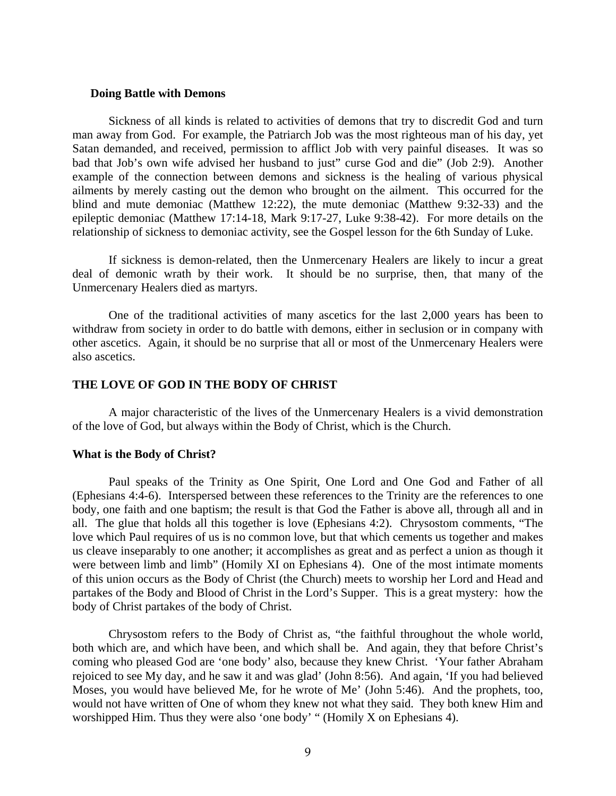### **Doing Battle with Demons**

 Sickness of all kinds is related to activities of demons that try to discredit God and turn man away from God. For example, the Patriarch Job was the most righteous man of his day, yet Satan demanded, and received, permission to afflict Job with very painful diseases. It was so bad that Job's own wife advised her husband to just" curse God and die" (Job 2:9). Another example of the connection between demons and sickness is the healing of various physical ailments by merely casting out the demon who brought on the ailment. This occurred for the blind and mute demoniac (Matthew 12:22), the mute demoniac (Matthew 9:32-33) and the epileptic demoniac (Matthew 17:14-18, Mark 9:17-27, Luke 9:38-42). For more details on the relationship of sickness to demoniac activity, see the Gospel lesson for the 6th Sunday of Luke.

 If sickness is demon-related, then the Unmercenary Healers are likely to incur a great deal of demonic wrath by their work. It should be no surprise, then, that many of the Unmercenary Healers died as martyrs.

 One of the traditional activities of many ascetics for the last 2,000 years has been to withdraw from society in order to do battle with demons, either in seclusion or in company with other ascetics. Again, it should be no surprise that all or most of the Unmercenary Healers were also ascetics.

### **THE LOVE OF GOD IN THE BODY OF CHRIST**

 A major characteristic of the lives of the Unmercenary Healers is a vivid demonstration of the love of God, but always within the Body of Christ, which is the Church.

### **What is the Body of Christ?**

 Paul speaks of the Trinity as One Spirit, One Lord and One God and Father of all (Ephesians 4:4-6). Interspersed between these references to the Trinity are the references to one body, one faith and one baptism; the result is that God the Father is above all, through all and in all. The glue that holds all this together is love (Ephesians 4:2). Chrysostom comments, "The love which Paul requires of us is no common love, but that which cements us together and makes us cleave inseparably to one another; it accomplishes as great and as perfect a union as though it were between limb and limb" (Homily XI on Ephesians 4). One of the most intimate moments of this union occurs as the Body of Christ (the Church) meets to worship her Lord and Head and partakes of the Body and Blood of Christ in the Lord's Supper. This is a great mystery: how the body of Christ partakes of the body of Christ.

 Chrysostom refers to the Body of Christ as, "the faithful throughout the whole world, both which are, and which have been, and which shall be. And again, they that before Christ's coming who pleased God are 'one body' also, because they knew Christ. 'Your father Abraham rejoiced to see My day, and he saw it and was glad' (John 8:56). And again, 'If you had believed Moses, you would have believed Me, for he wrote of Me' (John 5:46). And the prophets, too, would not have written of One of whom they knew not what they said. They both knew Him and worshipped Him. Thus they were also 'one body' " (Homily X on Ephesians 4).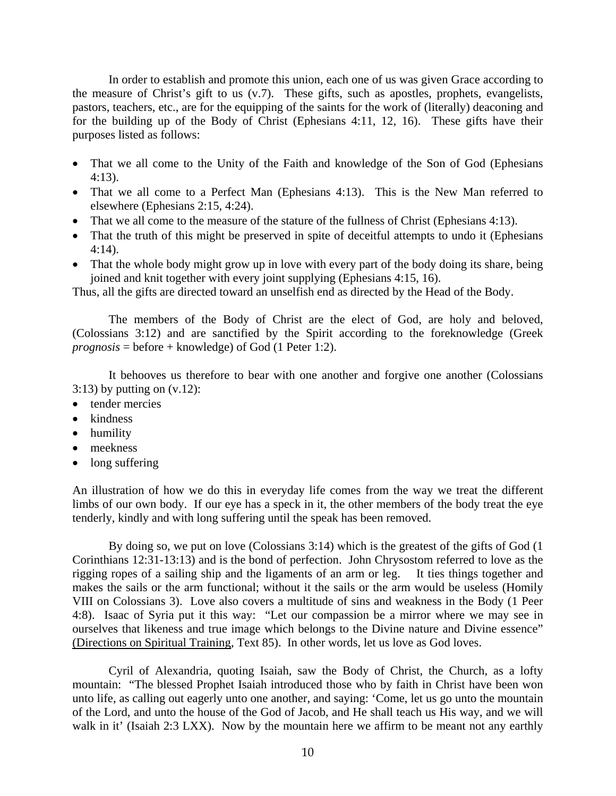In order to establish and promote this union, each one of us was given Grace according to the measure of Christ's gift to us (v.7). These gifts, such as apostles, prophets, evangelists, pastors, teachers, etc., are for the equipping of the saints for the work of (literally) deaconing and for the building up of the Body of Christ (Ephesians 4:11, 12, 16). These gifts have their purposes listed as follows:

- That we all come to the Unity of the Faith and knowledge of the Son of God (Ephesians 4:13).
- That we all come to a Perfect Man (Ephesians 4:13). This is the New Man referred to elsewhere (Ephesians 2:15, 4:24).
- That we all come to the measure of the stature of the fullness of Christ (Ephesians 4:13).
- That the truth of this might be preserved in spite of deceitful attempts to undo it (Ephesians 4:14).
- That the whole body might grow up in love with every part of the body doing its share, being joined and knit together with every joint supplying (Ephesians 4:15, 16).

Thus, all the gifts are directed toward an unselfish end as directed by the Head of the Body.

 The members of the Body of Christ are the elect of God, are holy and beloved, (Colossians 3:12) and are sanctified by the Spirit according to the foreknowledge (Greek *prognosis* = before + knowledge) of God (1 Peter 1:2).

 It behooves us therefore to bear with one another and forgive one another (Colossians  $3:13$ ) by putting on  $(v.12)$ :

- tender mercies
- kindness
- humility
- meekness
- long suffering

An illustration of how we do this in everyday life comes from the way we treat the different limbs of our own body. If our eye has a speck in it, the other members of the body treat the eye tenderly, kindly and with long suffering until the speak has been removed.

 By doing so, we put on love (Colossians 3:14) which is the greatest of the gifts of God (1 Corinthians 12:31-13:13) and is the bond of perfection. John Chrysostom referred to love as the rigging ropes of a sailing ship and the ligaments of an arm or leg. It ties things together and makes the sails or the arm functional; without it the sails or the arm would be useless (Homily VIII on Colossians 3). Love also covers a multitude of sins and weakness in the Body (1 Peer 4:8). Isaac of Syria put it this way: "Let our compassion be a mirror where we may see in ourselves that likeness and true image which belongs to the Divine nature and Divine essence" (Directions on Spiritual Training, Text 85). In other words, let us love as God loves.

 Cyril of Alexandria, quoting Isaiah, saw the Body of Christ, the Church, as a lofty mountain: "The blessed Prophet Isaiah introduced those who by faith in Christ have been won unto life, as calling out eagerly unto one another, and saying: 'Come, let us go unto the mountain of the Lord, and unto the house of the God of Jacob, and He shall teach us His way, and we will walk in it' (Isaiah 2:3 LXX). Now by the mountain here we affirm to be meant not any earthly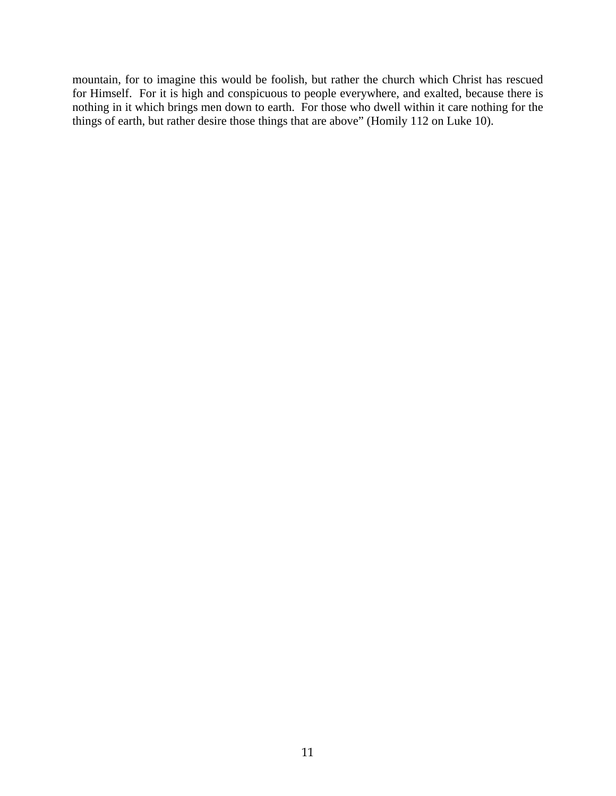mountain, for to imagine this would be foolish, but rather the church which Christ has rescued for Himself. For it is high and conspicuous to people everywhere, and exalted, because there is nothing in it which brings men down to earth. For those who dwell within it care nothing for the things of earth, but rather desire those things that are above" (Homily 112 on Luke 10).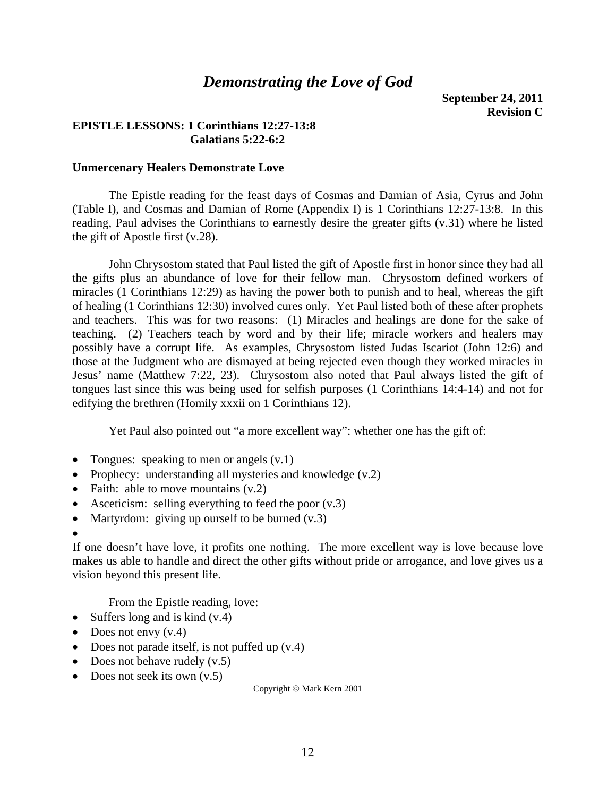# *Demonstrating the Love of God*

**September 24, 2011 Revision C** 

## **EPISTLE LESSONS: 1 Corinthians 12:27-13:8 Galatians 5:22-6:2**

### **Unmercenary Healers Demonstrate Love**

 The Epistle reading for the feast days of Cosmas and Damian of Asia, Cyrus and John (Table I), and Cosmas and Damian of Rome (Appendix I) is 1 Corinthians 12:27-13:8. In this reading, Paul advises the Corinthians to earnestly desire the greater gifts (v.31) where he listed the gift of Apostle first (v.28).

 John Chrysostom stated that Paul listed the gift of Apostle first in honor since they had all the gifts plus an abundance of love for their fellow man. Chrysostom defined workers of miracles (1 Corinthians 12:29) as having the power both to punish and to heal, whereas the gift of healing (1 Corinthians 12:30) involved cures only. Yet Paul listed both of these after prophets and teachers. This was for two reasons: (1) Miracles and healings are done for the sake of teaching. (2) Teachers teach by word and by their life; miracle workers and healers may possibly have a corrupt life. As examples, Chrysostom listed Judas Iscariot (John 12:6) and those at the Judgment who are dismayed at being rejected even though they worked miracles in Jesus' name (Matthew 7:22, 23). Chrysostom also noted that Paul always listed the gift of tongues last since this was being used for selfish purposes (1 Corinthians 14:4-14) and not for edifying the brethren (Homily xxxii on 1 Corinthians 12).

Yet Paul also pointed out "a more excellent way": whether one has the gift of:

- Tongues: speaking to men or angels  $(v.1)$
- Prophecy: understanding all mysteries and knowledge (v.2)
- Faith: able to move mountains  $(v.2)$
- Asceticism: selling everything to feed the poor  $(v.3)$
- Martyrdom: giving up ourself to be burned  $(v.3)$

•

If one doesn't have love, it profits one nothing. The more excellent way is love because love makes us able to handle and direct the other gifts without pride or arrogance, and love gives us a vision beyond this present life.

From the Epistle reading, love:

- Suffers long and is kind  $(v.4)$
- Does not envy  $(v.4)$
- Does not parade itself, is not puffed up  $(v.4)$
- Does not behave rudely  $(v.5)$
- Does not seek its own  $(v.5)$

Copyright © Mark Kern 2001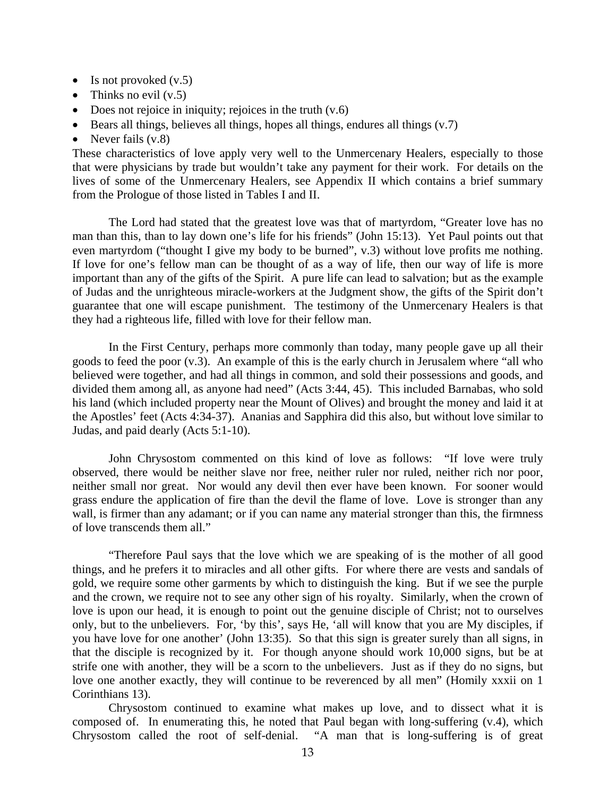- Is not provoked  $(v.5)$
- Thinks no evil  $(v.5)$
- Does not rejoice in iniquity; rejoices in the truth  $(v.6)$
- Bears all things, believes all things, hopes all things, endures all things  $(v.7)$
- Never fails  $(v.8)$

These characteristics of love apply very well to the Unmercenary Healers, especially to those that were physicians by trade but wouldn't take any payment for their work. For details on the lives of some of the Unmercenary Healers, see Appendix II which contains a brief summary from the Prologue of those listed in Tables I and II.

 The Lord had stated that the greatest love was that of martyrdom, "Greater love has no man than this, than to lay down one's life for his friends" (John 15:13). Yet Paul points out that even martyrdom ("thought I give my body to be burned", v.3) without love profits me nothing. If love for one's fellow man can be thought of as a way of life, then our way of life is more important than any of the gifts of the Spirit. A pure life can lead to salvation; but as the example of Judas and the unrighteous miracle-workers at the Judgment show, the gifts of the Spirit don't guarantee that one will escape punishment. The testimony of the Unmercenary Healers is that they had a righteous life, filled with love for their fellow man.

 In the First Century, perhaps more commonly than today, many people gave up all their goods to feed the poor (v.3). An example of this is the early church in Jerusalem where "all who believed were together, and had all things in common, and sold their possessions and goods, and divided them among all, as anyone had need" (Acts 3:44, 45). This included Barnabas, who sold his land (which included property near the Mount of Olives) and brought the money and laid it at the Apostles' feet (Acts 4:34-37). Ananias and Sapphira did this also, but without love similar to Judas, and paid dearly (Acts 5:1-10).

 John Chrysostom commented on this kind of love as follows: "If love were truly observed, there would be neither slave nor free, neither ruler nor ruled, neither rich nor poor, neither small nor great. Nor would any devil then ever have been known. For sooner would grass endure the application of fire than the devil the flame of love. Love is stronger than any wall, is firmer than any adamant; or if you can name any material stronger than this, the firmness of love transcends them all."

 "Therefore Paul says that the love which we are speaking of is the mother of all good things, and he prefers it to miracles and all other gifts. For where there are vests and sandals of gold, we require some other garments by which to distinguish the king. But if we see the purple and the crown, we require not to see any other sign of his royalty. Similarly, when the crown of love is upon our head, it is enough to point out the genuine disciple of Christ; not to ourselves only, but to the unbelievers. For, 'by this', says He, 'all will know that you are My disciples, if you have love for one another' (John 13:35). So that this sign is greater surely than all signs, in that the disciple is recognized by it. For though anyone should work 10,000 signs, but be at strife one with another, they will be a scorn to the unbelievers. Just as if they do no signs, but love one another exactly, they will continue to be reverenced by all men" (Homily xxxii on 1 Corinthians 13).

 Chrysostom continued to examine what makes up love, and to dissect what it is composed of. In enumerating this, he noted that Paul began with long-suffering (v.4), which Chrysostom called the root of self-denial. "A man that is long-suffering is of great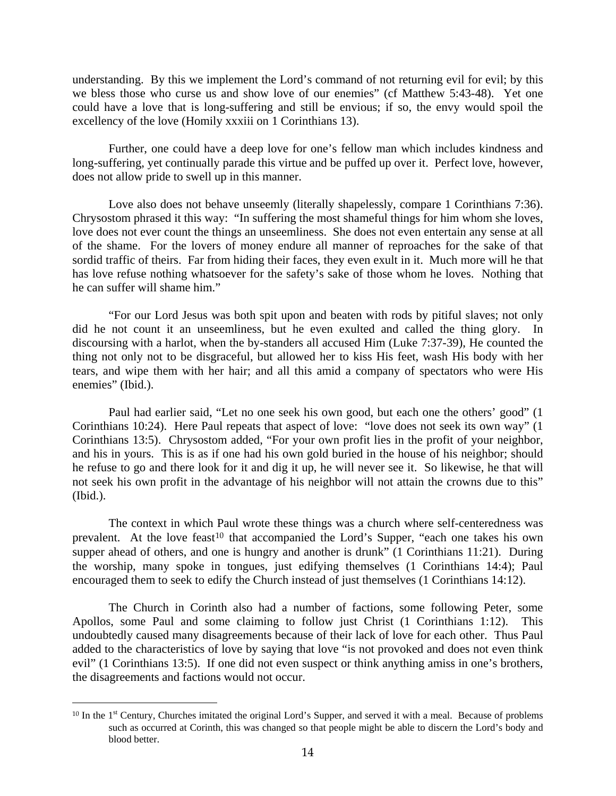understanding. By this we implement the Lord's command of not returning evil for evil; by this we bless those who curse us and show love of our enemies" (cf Matthew 5:43-48). Yet one could have a love that is long-suffering and still be envious; if so, the envy would spoil the excellency of the love (Homily xxxiii on 1 Corinthians 13).

 Further, one could have a deep love for one's fellow man which includes kindness and long-suffering, yet continually parade this virtue and be puffed up over it. Perfect love, however, does not allow pride to swell up in this manner.

Love also does not behave unseemly (literally shapelessly, compare 1 Corinthians 7:36). Chrysostom phrased it this way: "In suffering the most shameful things for him whom she loves, love does not ever count the things an unseemliness. She does not even entertain any sense at all of the shame. For the lovers of money endure all manner of reproaches for the sake of that sordid traffic of theirs. Far from hiding their faces, they even exult in it. Much more will he that has love refuse nothing whatsoever for the safety's sake of those whom he loves. Nothing that he can suffer will shame him."

 "For our Lord Jesus was both spit upon and beaten with rods by pitiful slaves; not only did he not count it an unseemliness, but he even exulted and called the thing glory. In discoursing with a harlot, when the by-standers all accused Him (Luke 7:37-39), He counted the thing not only not to be disgraceful, but allowed her to kiss His feet, wash His body with her tears, and wipe them with her hair; and all this amid a company of spectators who were His enemies" (Ibid.).

 Paul had earlier said, "Let no one seek his own good, but each one the others' good" (1 Corinthians 10:24). Here Paul repeats that aspect of love: "love does not seek its own way" (1 Corinthians 13:5). Chrysostom added, "For your own profit lies in the profit of your neighbor, and his in yours. This is as if one had his own gold buried in the house of his neighbor; should he refuse to go and there look for it and dig it up, he will never see it. So likewise, he that will not seek his own profit in the advantage of his neighbor will not attain the crowns due to this" (Ibid.).

 The context in which Paul wrote these things was a church where self-centeredness was prevalent. At the love feast<sup>[10](#page-13-0)</sup> that accompanied the Lord's Supper, "each one takes his own supper ahead of others, and one is hungry and another is drunk" (1 Corinthians 11:21). During the worship, many spoke in tongues, just edifying themselves (1 Corinthians 14:4); Paul encouraged them to seek to edify the Church instead of just themselves (1 Corinthians 14:12).

 The Church in Corinth also had a number of factions, some following Peter, some Apollos, some Paul and some claiming to follow just Christ (1 Corinthians 1:12). This undoubtedly caused many disagreements because of their lack of love for each other. Thus Paul added to the characteristics of love by saying that love "is not provoked and does not even think evil" (1 Corinthians 13:5). If one did not even suspect or think anything amiss in one's brothers, the disagreements and factions would not occur.

 $\overline{a}$ 

<span id="page-13-0"></span><sup>&</sup>lt;sup>10</sup> In the 1<sup>st</sup> Century, Churches imitated the original Lord's Supper, and served it with a meal. Because of problems such as occurred at Corinth, this was changed so that people might be able to discern the Lord's body and blood better.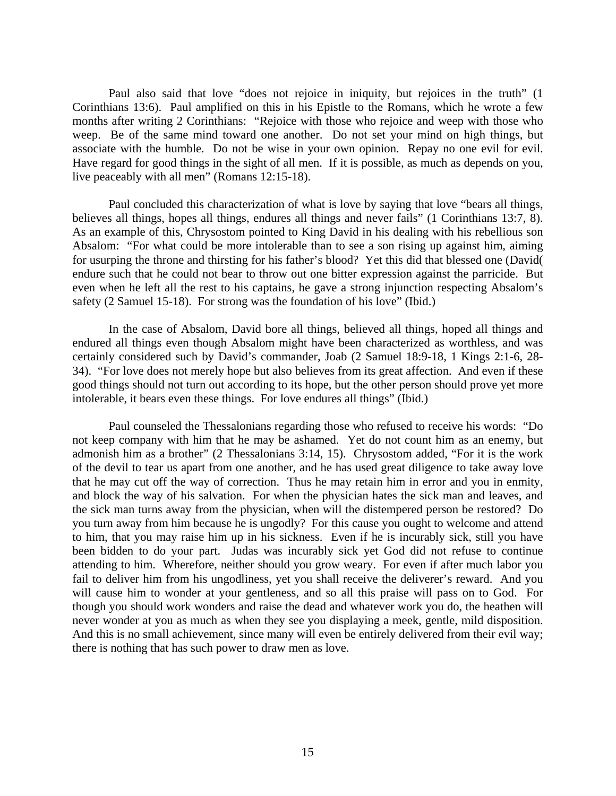Paul also said that love "does not rejoice in iniquity, but rejoices in the truth" (1 Corinthians 13:6). Paul amplified on this in his Epistle to the Romans, which he wrote a few months after writing 2 Corinthians: "Rejoice with those who rejoice and weep with those who weep. Be of the same mind toward one another. Do not set your mind on high things, but associate with the humble. Do not be wise in your own opinion. Repay no one evil for evil. Have regard for good things in the sight of all men. If it is possible, as much as depends on you, live peaceably with all men" (Romans 12:15-18).

 Paul concluded this characterization of what is love by saying that love "bears all things, believes all things, hopes all things, endures all things and never fails" (1 Corinthians 13:7, 8). As an example of this, Chrysostom pointed to King David in his dealing with his rebellious son Absalom: "For what could be more intolerable than to see a son rising up against him, aiming for usurping the throne and thirsting for his father's blood? Yet this did that blessed one (David( endure such that he could not bear to throw out one bitter expression against the parricide. But even when he left all the rest to his captains, he gave a strong injunction respecting Absalom's safety (2 Samuel 15-18). For strong was the foundation of his love" (Ibid.)

 In the case of Absalom, David bore all things, believed all things, hoped all things and endured all things even though Absalom might have been characterized as worthless, and was certainly considered such by David's commander, Joab (2 Samuel 18:9-18, 1 Kings 2:1-6, 28- 34). "For love does not merely hope but also believes from its great affection. And even if these good things should not turn out according to its hope, but the other person should prove yet more intolerable, it bears even these things. For love endures all things" (Ibid.)

 Paul counseled the Thessalonians regarding those who refused to receive his words: "Do not keep company with him that he may be ashamed. Yet do not count him as an enemy, but admonish him as a brother" (2 Thessalonians 3:14, 15). Chrysostom added, "For it is the work of the devil to tear us apart from one another, and he has used great diligence to take away love that he may cut off the way of correction. Thus he may retain him in error and you in enmity, and block the way of his salvation. For when the physician hates the sick man and leaves, and the sick man turns away from the physician, when will the distempered person be restored? Do you turn away from him because he is ungodly? For this cause you ought to welcome and attend to him, that you may raise him up in his sickness. Even if he is incurably sick, still you have been bidden to do your part. Judas was incurably sick yet God did not refuse to continue attending to him. Wherefore, neither should you grow weary. For even if after much labor you fail to deliver him from his ungodliness, yet you shall receive the deliverer's reward. And you will cause him to wonder at your gentleness, and so all this praise will pass on to God. For though you should work wonders and raise the dead and whatever work you do, the heathen will never wonder at you as much as when they see you displaying a meek, gentle, mild disposition. And this is no small achievement, since many will even be entirely delivered from their evil way; there is nothing that has such power to draw men as love.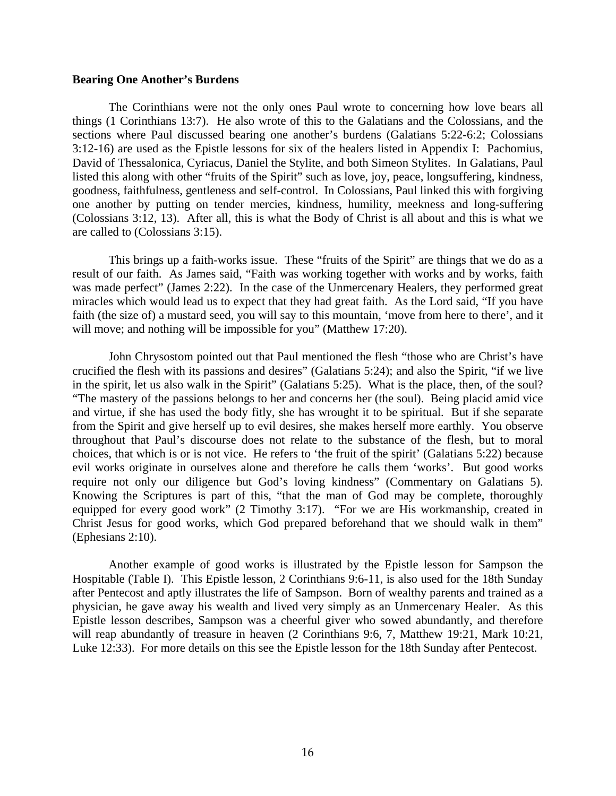#### **Bearing One Another's Burdens**

 The Corinthians were not the only ones Paul wrote to concerning how love bears all things (1 Corinthians 13:7). He also wrote of this to the Galatians and the Colossians, and the sections where Paul discussed bearing one another's burdens (Galatians 5:22-6:2; Colossians 3:12-16) are used as the Epistle lessons for six of the healers listed in Appendix I: Pachomius, David of Thessalonica, Cyriacus, Daniel the Stylite, and both Simeon Stylites. In Galatians, Paul listed this along with other "fruits of the Spirit" such as love, joy, peace, longsuffering, kindness, goodness, faithfulness, gentleness and self-control. In Colossians, Paul linked this with forgiving one another by putting on tender mercies, kindness, humility, meekness and long-suffering (Colossians 3:12, 13). After all, this is what the Body of Christ is all about and this is what we are called to (Colossians 3:15).

 This brings up a faith-works issue. These "fruits of the Spirit" are things that we do as a result of our faith. As James said, "Faith was working together with works and by works, faith was made perfect" (James 2:22). In the case of the Unmercenary Healers, they performed great miracles which would lead us to expect that they had great faith. As the Lord said, "If you have faith (the size of) a mustard seed, you will say to this mountain, 'move from here to there', and it will move; and nothing will be impossible for you" (Matthew 17:20).

 John Chrysostom pointed out that Paul mentioned the flesh "those who are Christ's have crucified the flesh with its passions and desires" (Galatians 5:24); and also the Spirit, "if we live in the spirit, let us also walk in the Spirit" (Galatians 5:25). What is the place, then, of the soul? "The mastery of the passions belongs to her and concerns her (the soul). Being placid amid vice and virtue, if she has used the body fitly, she has wrought it to be spiritual. But if she separate from the Spirit and give herself up to evil desires, she makes herself more earthly. You observe throughout that Paul's discourse does not relate to the substance of the flesh, but to moral choices, that which is or is not vice. He refers to 'the fruit of the spirit' (Galatians 5:22) because evil works originate in ourselves alone and therefore he calls them 'works'. But good works require not only our diligence but God's loving kindness" (Commentary on Galatians 5). Knowing the Scriptures is part of this, "that the man of God may be complete, thoroughly equipped for every good work" (2 Timothy 3:17). "For we are His workmanship, created in Christ Jesus for good works, which God prepared beforehand that we should walk in them" (Ephesians 2:10).

 Another example of good works is illustrated by the Epistle lesson for Sampson the Hospitable (Table I). This Epistle lesson, 2 Corinthians 9:6-11, is also used for the 18th Sunday after Pentecost and aptly illustrates the life of Sampson. Born of wealthy parents and trained as a physician, he gave away his wealth and lived very simply as an Unmercenary Healer. As this Epistle lesson describes, Sampson was a cheerful giver who sowed abundantly, and therefore will reap abundantly of treasure in heaven (2 Corinthians 9:6, 7, Matthew 19:21, Mark 10:21, Luke 12:33). For more details on this see the Epistle lesson for the 18th Sunday after Pentecost.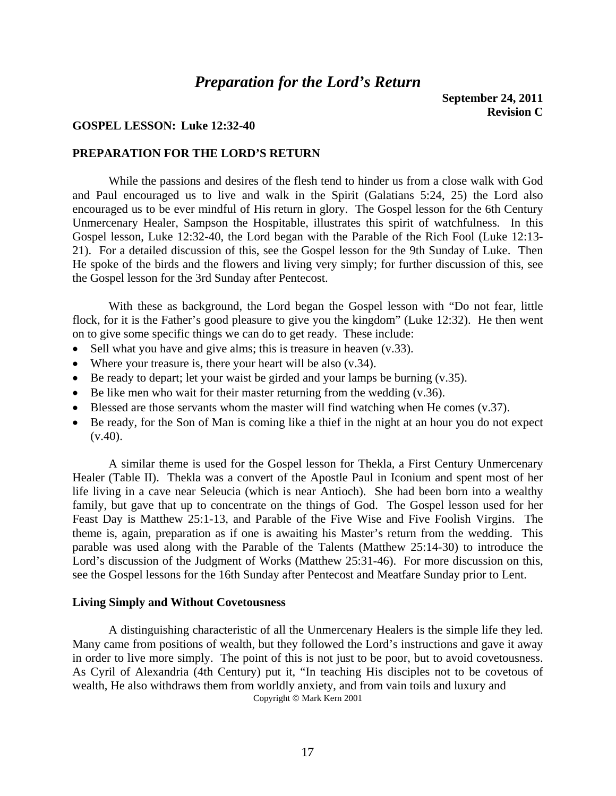## *Preparation for the Lord's Return*

### **GOSPEL LESSON: Luke 12:32-40**

### **PREPARATION FOR THE LORD'S RETURN**

 While the passions and desires of the flesh tend to hinder us from a close walk with God and Paul encouraged us to live and walk in the Spirit (Galatians 5:24, 25) the Lord also encouraged us to be ever mindful of His return in glory. The Gospel lesson for the 6th Century Unmercenary Healer, Sampson the Hospitable, illustrates this spirit of watchfulness. In this Gospel lesson, Luke 12:32-40, the Lord began with the Parable of the Rich Fool (Luke 12:13- 21). For a detailed discussion of this, see the Gospel lesson for the 9th Sunday of Luke. Then He spoke of the birds and the flowers and living very simply; for further discussion of this, see the Gospel lesson for the 3rd Sunday after Pentecost.

 With these as background, the Lord began the Gospel lesson with "Do not fear, little flock, for it is the Father's good pleasure to give you the kingdom" (Luke 12:32). He then went on to give some specific things we can do to get ready. These include:

- Sell what you have and give alms; this is treasure in heaven (v.33).
- Where your treasure is, there your heart will be also (v.34).
- Be ready to depart; let your waist be girded and your lamps be burning (v.35).
- Be like men who wait for their master returning from the wedding  $(v.36)$ .
- Blessed are those servants whom the master will find watching when He comes (v.37).
- Be ready, for the Son of Man is coming like a thief in the night at an hour you do not expect  $(v.40)$ .

 A similar theme is used for the Gospel lesson for Thekla, a First Century Unmercenary Healer (Table II). Thekla was a convert of the Apostle Paul in Iconium and spent most of her life living in a cave near Seleucia (which is near Antioch). She had been born into a wealthy family, but gave that up to concentrate on the things of God. The Gospel lesson used for her Feast Day is Matthew 25:1-13, and Parable of the Five Wise and Five Foolish Virgins. The theme is, again, preparation as if one is awaiting his Master's return from the wedding. This parable was used along with the Parable of the Talents (Matthew 25:14-30) to introduce the Lord's discussion of the Judgment of Works (Matthew 25:31-46). For more discussion on this, see the Gospel lessons for the 16th Sunday after Pentecost and Meatfare Sunday prior to Lent.

### **Living Simply and Without Covetousness**

 A distinguishing characteristic of all the Unmercenary Healers is the simple life they led. Many came from positions of wealth, but they followed the Lord's instructions and gave it away in order to live more simply. The point of this is not just to be poor, but to avoid covetousness. As Cyril of Alexandria (4th Century) put it, "In teaching His disciples not to be covetous of wealth, He also withdraws them from worldly anxiety, and from vain toils and luxury and Copyright © Mark Kern 2001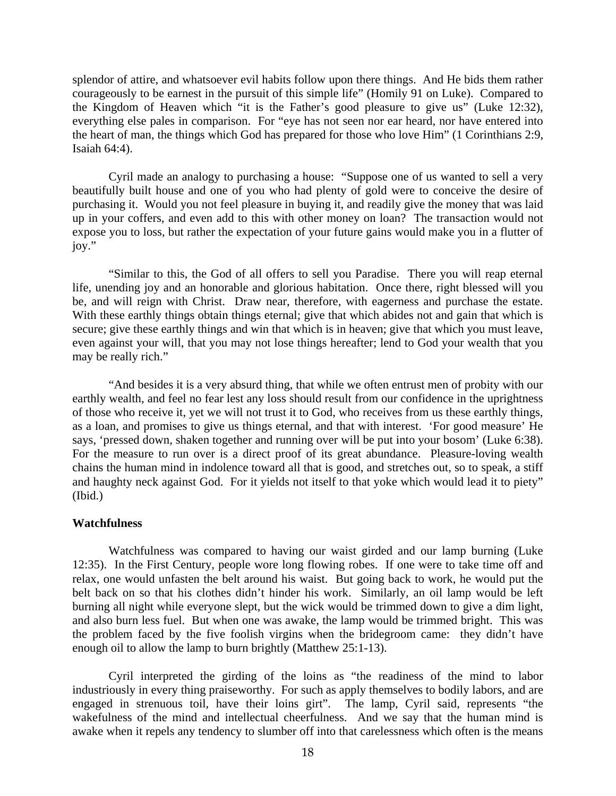splendor of attire, and whatsoever evil habits follow upon there things. And He bids them rather courageously to be earnest in the pursuit of this simple life" (Homily 91 on Luke). Compared to the Kingdom of Heaven which "it is the Father's good pleasure to give us" (Luke 12:32), everything else pales in comparison. For "eye has not seen nor ear heard, nor have entered into the heart of man, the things which God has prepared for those who love Him" (1 Corinthians 2:9, Isaiah 64:4).

 Cyril made an analogy to purchasing a house: "Suppose one of us wanted to sell a very beautifully built house and one of you who had plenty of gold were to conceive the desire of purchasing it. Would you not feel pleasure in buying it, and readily give the money that was laid up in your coffers, and even add to this with other money on loan? The transaction would not expose you to loss, but rather the expectation of your future gains would make you in a flutter of joy."

 "Similar to this, the God of all offers to sell you Paradise. There you will reap eternal life, unending joy and an honorable and glorious habitation. Once there, right blessed will you be, and will reign with Christ. Draw near, therefore, with eagerness and purchase the estate. With these earthly things obtain things eternal; give that which abides not and gain that which is secure; give these earthly things and win that which is in heaven; give that which you must leave, even against your will, that you may not lose things hereafter; lend to God your wealth that you may be really rich."

 "And besides it is a very absurd thing, that while we often entrust men of probity with our earthly wealth, and feel no fear lest any loss should result from our confidence in the uprightness of those who receive it, yet we will not trust it to God, who receives from us these earthly things, as a loan, and promises to give us things eternal, and that with interest. 'For good measure' He says, 'pressed down, shaken together and running over will be put into your bosom' (Luke 6:38). For the measure to run over is a direct proof of its great abundance. Pleasure-loving wealth chains the human mind in indolence toward all that is good, and stretches out, so to speak, a stiff and haughty neck against God. For it yields not itself to that yoke which would lead it to piety" (Ibid.)

### **Watchfulness**

 Watchfulness was compared to having our waist girded and our lamp burning (Luke 12:35). In the First Century, people wore long flowing robes. If one were to take time off and relax, one would unfasten the belt around his waist. But going back to work, he would put the belt back on so that his clothes didn't hinder his work. Similarly, an oil lamp would be left burning all night while everyone slept, but the wick would be trimmed down to give a dim light, and also burn less fuel. But when one was awake, the lamp would be trimmed bright. This was the problem faced by the five foolish virgins when the bridegroom came: they didn't have enough oil to allow the lamp to burn brightly (Matthew 25:1-13).

 Cyril interpreted the girding of the loins as "the readiness of the mind to labor industriously in every thing praiseworthy. For such as apply themselves to bodily labors, and are engaged in strenuous toil, have their loins girt". The lamp, Cyril said, represents "the wakefulness of the mind and intellectual cheerfulness. And we say that the human mind is awake when it repels any tendency to slumber off into that carelessness which often is the means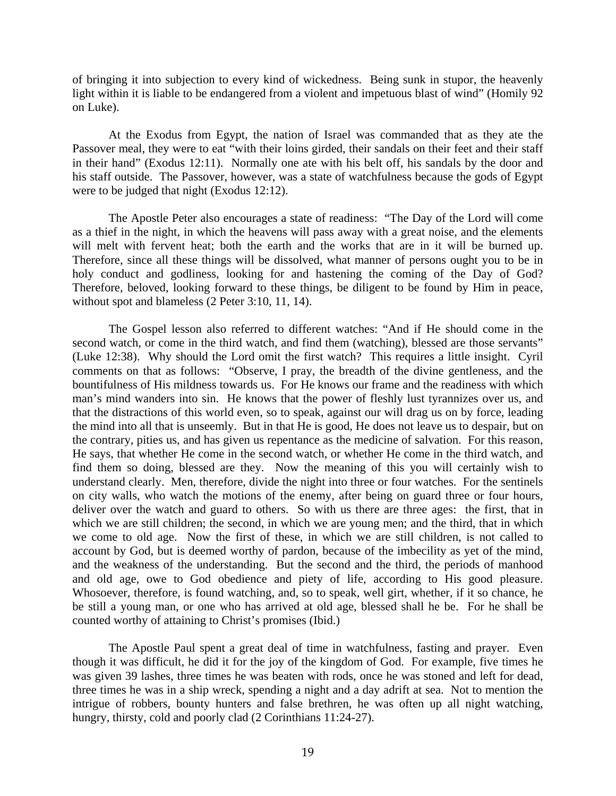of bringing it into subjection to every kind of wickedness. Being sunk in stupor, the heavenly light within it is liable to be endangered from a violent and impetuous blast of wind" (Homily 92 on Luke).

 At the Exodus from Egypt, the nation of Israel was commanded that as they ate the Passover meal, they were to eat "with their loins girded, their sandals on their feet and their staff in their hand" (Exodus 12:11). Normally one ate with his belt off, his sandals by the door and his staff outside. The Passover, however, was a state of watchfulness because the gods of Egypt were to be judged that night (Exodus 12:12).

 The Apostle Peter also encourages a state of readiness: "The Day of the Lord will come as a thief in the night, in which the heavens will pass away with a great noise, and the elements will melt with fervent heat; both the earth and the works that are in it will be burned up. Therefore, since all these things will be dissolved, what manner of persons ought you to be in holy conduct and godliness, looking for and hastening the coming of the Day of God? Therefore, beloved, looking forward to these things, be diligent to be found by Him in peace, without spot and blameless (2 Peter 3:10, 11, 14).

 The Gospel lesson also referred to different watches: "And if He should come in the second watch, or come in the third watch, and find them (watching), blessed are those servants" (Luke 12:38). Why should the Lord omit the first watch? This requires a little insight. Cyril comments on that as follows: "Observe, I pray, the breadth of the divine gentleness, and the bountifulness of His mildness towards us. For He knows our frame and the readiness with which man's mind wanders into sin. He knows that the power of fleshly lust tyrannizes over us, and that the distractions of this world even, so to speak, against our will drag us on by force, leading the mind into all that is unseemly. But in that He is good, He does not leave us to despair, but on the contrary, pities us, and has given us repentance as the medicine of salvation. For this reason, He says, that whether He come in the second watch, or whether He come in the third watch, and find them so doing, blessed are they. Now the meaning of this you will certainly wish to understand clearly. Men, therefore, divide the night into three or four watches. For the sentinels on city walls, who watch the motions of the enemy, after being on guard three or four hours, deliver over the watch and guard to others. So with us there are three ages: the first, that in which we are still children; the second, in which we are young men; and the third, that in which we come to old age. Now the first of these, in which we are still children, is not called to account by God, but is deemed worthy of pardon, because of the imbecility as yet of the mind, and the weakness of the understanding. But the second and the third, the periods of manhood and old age, owe to God obedience and piety of life, according to His good pleasure. Whosoever, therefore, is found watching, and, so to speak, well girt, whether, if it so chance, he be still a young man, or one who has arrived at old age, blessed shall he be. For he shall be counted worthy of attaining to Christ's promises (Ibid.)

 The Apostle Paul spent a great deal of time in watchfulness, fasting and prayer. Even though it was difficult, he did it for the joy of the kingdom of God. For example, five times he was given 39 lashes, three times he was beaten with rods, once he was stoned and left for dead, three times he was in a ship wreck, spending a night and a day adrift at sea. Not to mention the intrigue of robbers, bounty hunters and false brethren, he was often up all night watching, hungry, thirsty, cold and poorly clad (2 Corinthians 11:24-27).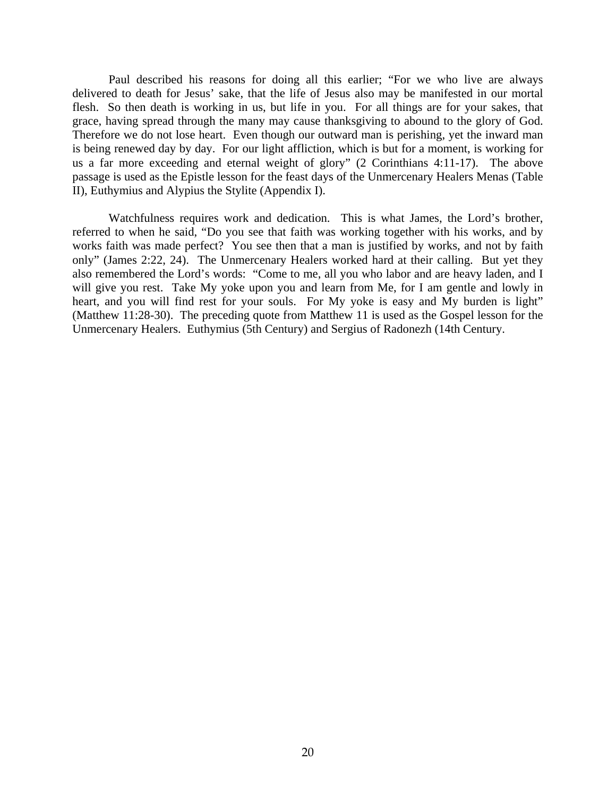Paul described his reasons for doing all this earlier; "For we who live are always delivered to death for Jesus' sake, that the life of Jesus also may be manifested in our mortal flesh. So then death is working in us, but life in you. For all things are for your sakes, that grace, having spread through the many may cause thanksgiving to abound to the glory of God. Therefore we do not lose heart. Even though our outward man is perishing, yet the inward man is being renewed day by day. For our light affliction, which is but for a moment, is working for us a far more exceeding and eternal weight of glory" (2 Corinthians 4:11-17). The above passage is used as the Epistle lesson for the feast days of the Unmercenary Healers Menas (Table II), Euthymius and Alypius the Stylite (Appendix I).

 Watchfulness requires work and dedication. This is what James, the Lord's brother, referred to when he said, "Do you see that faith was working together with his works, and by works faith was made perfect? You see then that a man is justified by works, and not by faith only" (James 2:22, 24). The Unmercenary Healers worked hard at their calling. But yet they also remembered the Lord's words: "Come to me, all you who labor and are heavy laden, and I will give you rest. Take My yoke upon you and learn from Me, for I am gentle and lowly in heart, and you will find rest for your souls. For My yoke is easy and My burden is light" (Matthew 11:28-30). The preceding quote from Matthew 11 is used as the Gospel lesson for the Unmercenary Healers. Euthymius (5th Century) and Sergius of Radonezh (14th Century.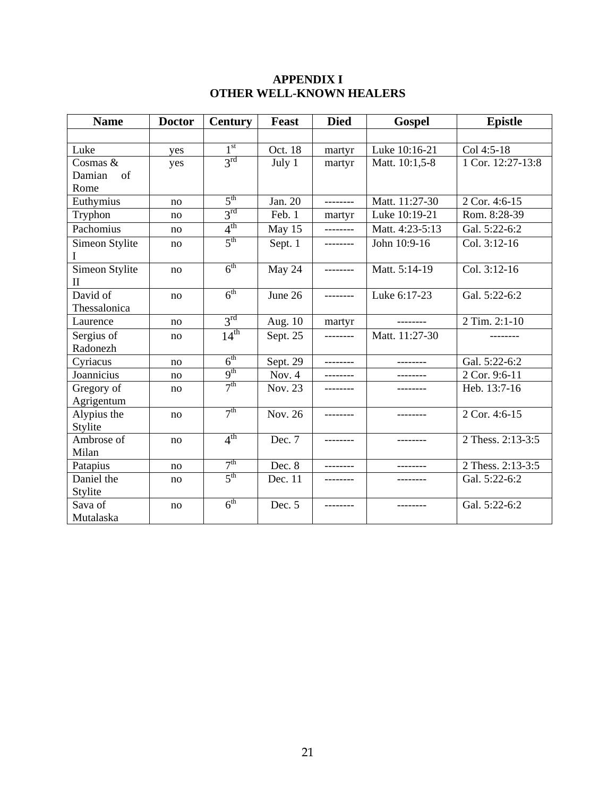## **APPENDIX I OTHER WELL-KNOWN HEALERS**

| <b>Name</b>                    | <b>Doctor</b> | <b>Century</b>  | <b>Feast</b> | <b>Died</b> | <b>Gospel</b>   | <b>Epistle</b>    |
|--------------------------------|---------------|-----------------|--------------|-------------|-----------------|-------------------|
|                                |               |                 |              |             |                 |                   |
| Luke                           | yes           | 1 <sup>st</sup> | Oct. 18      | martyr      | Luke 10:16-21   | Col 4:5-18        |
| Cosmas &                       | yes           | 3 <sup>rd</sup> | July 1       | martyr      | Matt. 10:1,5-8  | 1 Cor. 12:27-13:8 |
| Damian<br>of                   |               |                 |              |             |                 |                   |
| Rome                           |               |                 |              |             |                 |                   |
| Euthymius                      | no            | 5 <sup>th</sup> | Jan. 20      | --------    | Matt. 11:27-30  | 2 Cor. 4:6-15     |
| Tryphon                        | no            | $3^{\text{rd}}$ | Feb. 1       | martyr      | Luke 10:19-21   | Rom. 8:28-39      |
| Pachomius                      | no            | $4^{\text{th}}$ | May 15       | --------    | Matt. 4:23-5:13 | Gal. 5:22-6:2     |
| Simeon Stylite<br>Ι            | no            | 5 <sup>th</sup> | Sept. 1      | --------    | John 10:9-16    | Col. 3:12-16      |
| Simeon Stylite<br>$\mathbf{I}$ | no            | 6 <sup>th</sup> | May 24       | --------    | Matt. 5:14-19   | Col. 3:12-16      |
| David of                       | no            | $6^{\text{th}}$ | June 26      | ---------   | Luke 6:17-23    | Gal. 5:22-6:2     |
| Thessalonica                   |               |                 |              |             |                 |                   |
| Laurence                       | no            | 3 <sup>rd</sup> | Aug. 10      | martyr      | --------        | 2 Tim. 2:1-10     |
| Sergius of                     | no            | $14^{th}$       | Sept. 25     | --------    | Matt. 11:27-30  |                   |
| Radonezh                       |               |                 |              |             |                 |                   |
| Cyriacus                       | no            | 6 <sup>th</sup> | Sept. 29     | --------    | --------        | Gal. 5:22-6:2     |
| Joannicius                     | no            | 9 <sup>th</sup> | Nov. $4$     | ---------   | --------        | 2 Cor. 9:6-11     |
| Gregory of                     | no            | 7 <sup>th</sup> | Nov. 23      |             |                 | Heb. 13:7-16      |
| Agrigentum                     |               |                 |              |             |                 |                   |
| Alypius the                    | no            | 7 <sup>th</sup> | Nov. 26      | --------    |                 | 2 Cor. 4:6-15     |
| Stylite                        |               |                 |              |             |                 |                   |
| Ambrose of                     | no            | 4 <sup>th</sup> | Dec. 7       | --------    | --------        | 2 Thess. 2:13-3:5 |
| Milan                          |               |                 |              |             |                 |                   |
| Patapius                       | no            | 7 <sup>th</sup> | Dec. 8       | --------    | ---------       | 2 Thess. 2:13-3:5 |
| Daniel the                     | no            | 5 <sup>th</sup> | Dec. 11      |             |                 | Gal. 5:22-6:2     |
| Stylite                        |               |                 |              |             |                 |                   |
| Sava of                        | no            | 6 <sup>th</sup> | Dec. 5       |             |                 | Gal. 5:22-6:2     |
| Mutalaska                      |               |                 |              |             |                 |                   |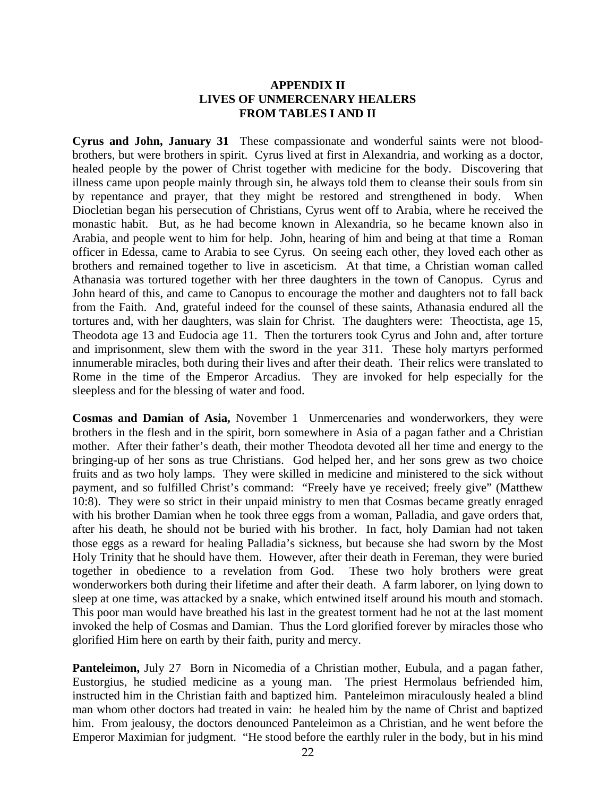### **APPENDIX II LIVES OF UNMERCENARY HEALERS FROM TABLES I AND II**

**Cyrus and John, January 31** These compassionate and wonderful saints were not bloodbrothers, but were brothers in spirit. Cyrus lived at first in Alexandria, and working as a doctor, healed people by the power of Christ together with medicine for the body. Discovering that illness came upon people mainly through sin, he always told them to cleanse their souls from sin by repentance and prayer, that they might be restored and strengthened in body. When Diocletian began his persecution of Christians, Cyrus went off to Arabia, where he received the monastic habit. But, as he had become known in Alexandria, so he became known also in Arabia, and people went to him for help. John, hearing of him and being at that time a Roman officer in Edessa, came to Arabia to see Cyrus. On seeing each other, they loved each other as brothers and remained together to live in asceticism. At that time, a Christian woman called Athanasia was tortured together with her three daughters in the town of Canopus. Cyrus and John heard of this, and came to Canopus to encourage the mother and daughters not to fall back from the Faith. And, grateful indeed for the counsel of these saints, Athanasia endured all the tortures and, with her daughters, was slain for Christ. The daughters were: Theoctista, age 15, Theodota age 13 and Eudocia age 11. Then the torturers took Cyrus and John and, after torture and imprisonment, slew them with the sword in the year 311. These holy martyrs performed innumerable miracles, both during their lives and after their death. Their relics were translated to Rome in the time of the Emperor Arcadius. They are invoked for help especially for the sleepless and for the blessing of water and food.

**Cosmas and Damian of Asia,** November 1 Unmercenaries and wonderworkers, they were brothers in the flesh and in the spirit, born somewhere in Asia of a pagan father and a Christian mother. After their father's death, their mother Theodota devoted all her time and energy to the bringing-up of her sons as true Christians. God helped her, and her sons grew as two choice fruits and as two holy lamps. They were skilled in medicine and ministered to the sick without payment, and so fulfilled Christ's command: "Freely have ye received; freely give" (Matthew 10:8). They were so strict in their unpaid ministry to men that Cosmas became greatly enraged with his brother Damian when he took three eggs from a woman, Palladia, and gave orders that, after his death, he should not be buried with his brother. In fact, holy Damian had not taken those eggs as a reward for healing Palladia's sickness, but because she had sworn by the Most Holy Trinity that he should have them. However, after their death in Fereman, they were buried together in obedience to a revelation from God. These two holy brothers were great wonderworkers both during their lifetime and after their death. A farm laborer, on lying down to sleep at one time, was attacked by a snake, which entwined itself around his mouth and stomach. This poor man would have breathed his last in the greatest torment had he not at the last moment invoked the help of Cosmas and Damian. Thus the Lord glorified forever by miracles those who glorified Him here on earth by their faith, purity and mercy.

**Panteleimon,** July 27 Born in Nicomedia of a Christian mother, Eubula, and a pagan father, Eustorgius, he studied medicine as a young man. The priest Hermolaus befriended him, instructed him in the Christian faith and baptized him. Panteleimon miraculously healed a blind man whom other doctors had treated in vain: he healed him by the name of Christ and baptized him. From jealousy, the doctors denounced Panteleimon as a Christian, and he went before the Emperor Maximian for judgment. "He stood before the earthly ruler in the body, but in his mind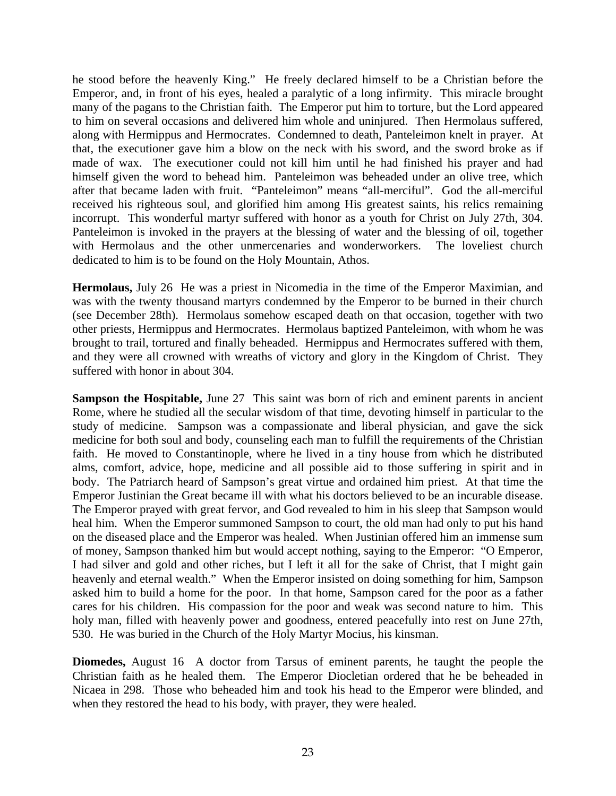he stood before the heavenly King." He freely declared himself to be a Christian before the Emperor, and, in front of his eyes, healed a paralytic of a long infirmity. This miracle brought many of the pagans to the Christian faith. The Emperor put him to torture, but the Lord appeared to him on several occasions and delivered him whole and uninjured. Then Hermolaus suffered, along with Hermippus and Hermocrates. Condemned to death, Panteleimon knelt in prayer. At that, the executioner gave him a blow on the neck with his sword, and the sword broke as if made of wax. The executioner could not kill him until he had finished his prayer and had himself given the word to behead him. Panteleimon was beheaded under an olive tree, which after that became laden with fruit. "Panteleimon" means "all-merciful". God the all-merciful received his righteous soul, and glorified him among His greatest saints, his relics remaining incorrupt. This wonderful martyr suffered with honor as a youth for Christ on July 27th, 304. Panteleimon is invoked in the prayers at the blessing of water and the blessing of oil, together with Hermolaus and the other unmercenaries and wonderworkers. The loveliest church dedicated to him is to be found on the Holy Mountain, Athos.

**Hermolaus,** July 26 He was a priest in Nicomedia in the time of the Emperor Maximian, and was with the twenty thousand martyrs condemned by the Emperor to be burned in their church (see December 28th). Hermolaus somehow escaped death on that occasion, together with two other priests, Hermippus and Hermocrates. Hermolaus baptized Panteleimon, with whom he was brought to trail, tortured and finally beheaded. Hermippus and Hermocrates suffered with them, and they were all crowned with wreaths of victory and glory in the Kingdom of Christ. They suffered with honor in about 304.

**Sampson the Hospitable, June 27** This saint was born of rich and eminent parents in ancient Rome, where he studied all the secular wisdom of that time, devoting himself in particular to the study of medicine. Sampson was a compassionate and liberal physician, and gave the sick medicine for both soul and body, counseling each man to fulfill the requirements of the Christian faith. He moved to Constantinople, where he lived in a tiny house from which he distributed alms, comfort, advice, hope, medicine and all possible aid to those suffering in spirit and in body. The Patriarch heard of Sampson's great virtue and ordained him priest. At that time the Emperor Justinian the Great became ill with what his doctors believed to be an incurable disease. The Emperor prayed with great fervor, and God revealed to him in his sleep that Sampson would heal him. When the Emperor summoned Sampson to court, the old man had only to put his hand on the diseased place and the Emperor was healed. When Justinian offered him an immense sum of money, Sampson thanked him but would accept nothing, saying to the Emperor: "O Emperor, I had silver and gold and other riches, but I left it all for the sake of Christ, that I might gain heavenly and eternal wealth." When the Emperor insisted on doing something for him, Sampson asked him to build a home for the poor. In that home, Sampson cared for the poor as a father cares for his children. His compassion for the poor and weak was second nature to him. This holy man, filled with heavenly power and goodness, entered peacefully into rest on June 27th, 530. He was buried in the Church of the Holy Martyr Mocius, his kinsman.

**Diomedes,** August 16 A doctor from Tarsus of eminent parents, he taught the people the Christian faith as he healed them. The Emperor Diocletian ordered that he be beheaded in Nicaea in 298. Those who beheaded him and took his head to the Emperor were blinded, and when they restored the head to his body, with prayer, they were healed.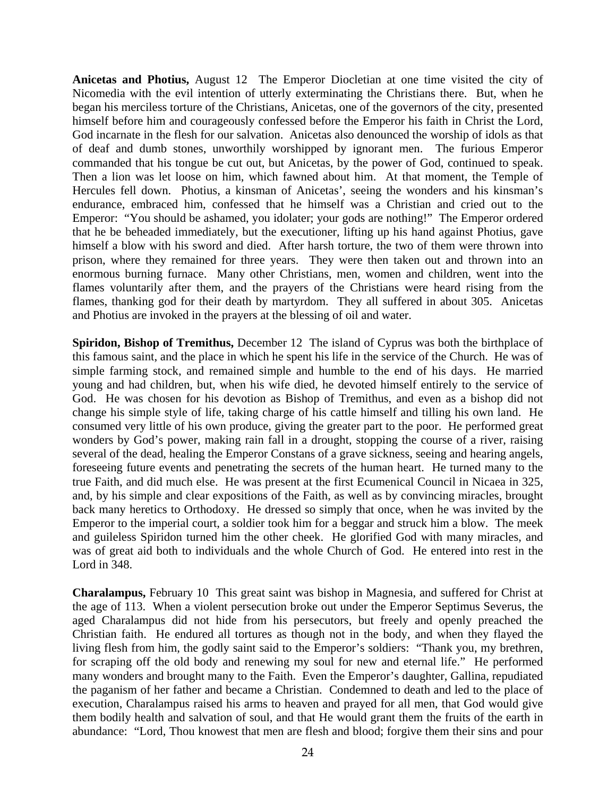**Anicetas and Photius,** August 12 The Emperor Diocletian at one time visited the city of Nicomedia with the evil intention of utterly exterminating the Christians there. But, when he began his merciless torture of the Christians, Anicetas, one of the governors of the city, presented himself before him and courageously confessed before the Emperor his faith in Christ the Lord, God incarnate in the flesh for our salvation. Anicetas also denounced the worship of idols as that of deaf and dumb stones, unworthily worshipped by ignorant men. The furious Emperor commanded that his tongue be cut out, but Anicetas, by the power of God, continued to speak. Then a lion was let loose on him, which fawned about him. At that moment, the Temple of Hercules fell down. Photius, a kinsman of Anicetas', seeing the wonders and his kinsman's endurance, embraced him, confessed that he himself was a Christian and cried out to the Emperor: "You should be ashamed, you idolater; your gods are nothing!" The Emperor ordered that he be beheaded immediately, but the executioner, lifting up his hand against Photius, gave himself a blow with his sword and died. After harsh torture, the two of them were thrown into prison, where they remained for three years. They were then taken out and thrown into an enormous burning furnace. Many other Christians, men, women and children, went into the flames voluntarily after them, and the prayers of the Christians were heard rising from the flames, thanking god for their death by martyrdom. They all suffered in about 305. Anicetas and Photius are invoked in the prayers at the blessing of oil and water.

**Spiridon, Bishop of Tremithus,** December 12 The island of Cyprus was both the birthplace of this famous saint, and the place in which he spent his life in the service of the Church. He was of simple farming stock, and remained simple and humble to the end of his days. He married young and had children, but, when his wife died, he devoted himself entirely to the service of God. He was chosen for his devotion as Bishop of Tremithus, and even as a bishop did not change his simple style of life, taking charge of his cattle himself and tilling his own land. He consumed very little of his own produce, giving the greater part to the poor. He performed great wonders by God's power, making rain fall in a drought, stopping the course of a river, raising several of the dead, healing the Emperor Constans of a grave sickness, seeing and hearing angels, foreseeing future events and penetrating the secrets of the human heart. He turned many to the true Faith, and did much else. He was present at the first Ecumenical Council in Nicaea in 325, and, by his simple and clear expositions of the Faith, as well as by convincing miracles, brought back many heretics to Orthodoxy. He dressed so simply that once, when he was invited by the Emperor to the imperial court, a soldier took him for a beggar and struck him a blow. The meek and guileless Spiridon turned him the other cheek. He glorified God with many miracles, and was of great aid both to individuals and the whole Church of God. He entered into rest in the Lord in 348.

**Charalampus,** February 10 This great saint was bishop in Magnesia, and suffered for Christ at the age of 113. When a violent persecution broke out under the Emperor Septimus Severus, the aged Charalampus did not hide from his persecutors, but freely and openly preached the Christian faith. He endured all tortures as though not in the body, and when they flayed the living flesh from him, the godly saint said to the Emperor's soldiers: "Thank you, my brethren, for scraping off the old body and renewing my soul for new and eternal life." He performed many wonders and brought many to the Faith. Even the Emperor's daughter, Gallina, repudiated the paganism of her father and became a Christian. Condemned to death and led to the place of execution, Charalampus raised his arms to heaven and prayed for all men, that God would give them bodily health and salvation of soul, and that He would grant them the fruits of the earth in abundance: "Lord, Thou knowest that men are flesh and blood; forgive them their sins and pour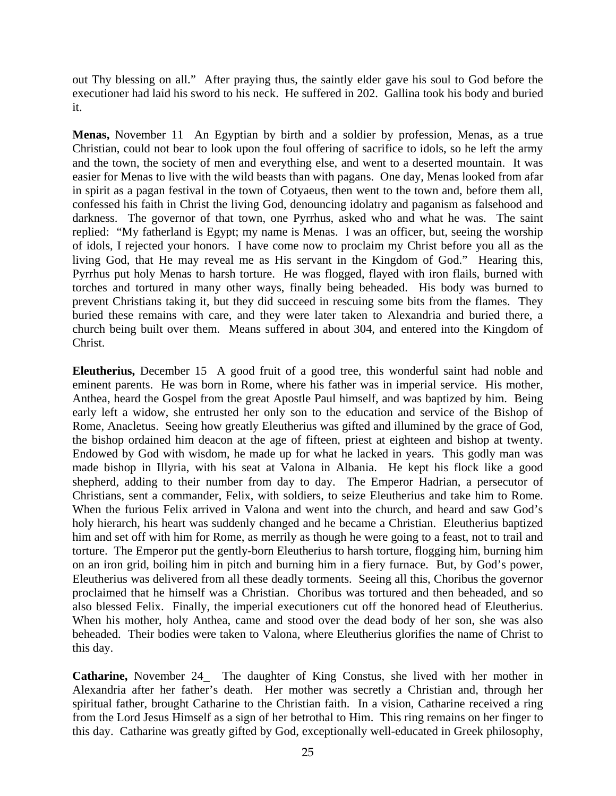out Thy blessing on all." After praying thus, the saintly elder gave his soul to God before the executioner had laid his sword to his neck. He suffered in 202. Gallina took his body and buried it.

**Menas,** November 11 An Egyptian by birth and a soldier by profession, Menas, as a true Christian, could not bear to look upon the foul offering of sacrifice to idols, so he left the army and the town, the society of men and everything else, and went to a deserted mountain. It was easier for Menas to live with the wild beasts than with pagans. One day, Menas looked from afar in spirit as a pagan festival in the town of Cotyaeus, then went to the town and, before them all, confessed his faith in Christ the living God, denouncing idolatry and paganism as falsehood and darkness. The governor of that town, one Pyrrhus, asked who and what he was. The saint replied: "My fatherland is Egypt; my name is Menas. I was an officer, but, seeing the worship of idols, I rejected your honors. I have come now to proclaim my Christ before you all as the living God, that He may reveal me as His servant in the Kingdom of God." Hearing this, Pyrrhus put holy Menas to harsh torture. He was flogged, flayed with iron flails, burned with torches and tortured in many other ways, finally being beheaded. His body was burned to prevent Christians taking it, but they did succeed in rescuing some bits from the flames. They buried these remains with care, and they were later taken to Alexandria and buried there, a church being built over them. Means suffered in about 304, and entered into the Kingdom of Christ.

**Eleutherius,** December 15 A good fruit of a good tree, this wonderful saint had noble and eminent parents. He was born in Rome, where his father was in imperial service. His mother, Anthea, heard the Gospel from the great Apostle Paul himself, and was baptized by him. Being early left a widow, she entrusted her only son to the education and service of the Bishop of Rome, Anacletus. Seeing how greatly Eleutherius was gifted and illumined by the grace of God, the bishop ordained him deacon at the age of fifteen, priest at eighteen and bishop at twenty. Endowed by God with wisdom, he made up for what he lacked in years. This godly man was made bishop in Illyria, with his seat at Valona in Albania. He kept his flock like a good shepherd, adding to their number from day to day. The Emperor Hadrian, a persecutor of Christians, sent a commander, Felix, with soldiers, to seize Eleutherius and take him to Rome. When the furious Felix arrived in Valona and went into the church, and heard and saw God's holy hierarch, his heart was suddenly changed and he became a Christian. Eleutherius baptized him and set off with him for Rome, as merrily as though he were going to a feast, not to trail and torture. The Emperor put the gently-born Eleutherius to harsh torture, flogging him, burning him on an iron grid, boiling him in pitch and burning him in a fiery furnace. But, by God's power, Eleutherius was delivered from all these deadly torments. Seeing all this, Choribus the governor proclaimed that he himself was a Christian. Choribus was tortured and then beheaded, and so also blessed Felix. Finally, the imperial executioners cut off the honored head of Eleutherius. When his mother, holy Anthea, came and stood over the dead body of her son, she was also beheaded. Their bodies were taken to Valona, where Eleutherius glorifies the name of Christ to this day.

**Catharine,** November 24 The daughter of King Constus, she lived with her mother in Alexandria after her father's death. Her mother was secretly a Christian and, through her spiritual father, brought Catharine to the Christian faith. In a vision, Catharine received a ring from the Lord Jesus Himself as a sign of her betrothal to Him. This ring remains on her finger to this day. Catharine was greatly gifted by God, exceptionally well-educated in Greek philosophy,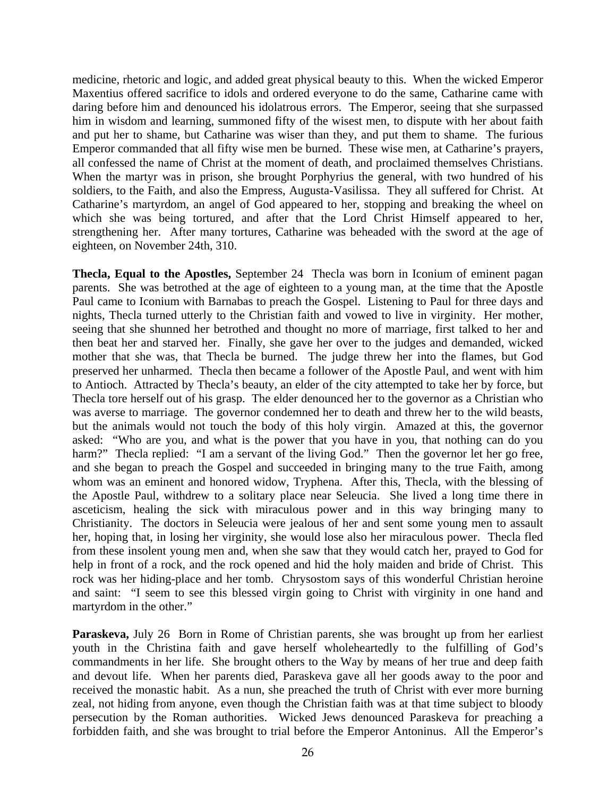medicine, rhetoric and logic, and added great physical beauty to this. When the wicked Emperor Maxentius offered sacrifice to idols and ordered everyone to do the same, Catharine came with daring before him and denounced his idolatrous errors. The Emperor, seeing that she surpassed him in wisdom and learning, summoned fifty of the wisest men, to dispute with her about faith and put her to shame, but Catharine was wiser than they, and put them to shame. The furious Emperor commanded that all fifty wise men be burned. These wise men, at Catharine's prayers, all confessed the name of Christ at the moment of death, and proclaimed themselves Christians. When the martyr was in prison, she brought Porphyrius the general, with two hundred of his soldiers, to the Faith, and also the Empress, Augusta-Vasilissa. They all suffered for Christ. At Catharine's martyrdom, an angel of God appeared to her, stopping and breaking the wheel on which she was being tortured, and after that the Lord Christ Himself appeared to her, strengthening her. After many tortures, Catharine was beheaded with the sword at the age of eighteen, on November 24th, 310.

**Thecla, Equal to the Apostles,** September 24 Thecla was born in Iconium of eminent pagan parents. She was betrothed at the age of eighteen to a young man, at the time that the Apostle Paul came to Iconium with Barnabas to preach the Gospel. Listening to Paul for three days and nights, Thecla turned utterly to the Christian faith and vowed to live in virginity. Her mother, seeing that she shunned her betrothed and thought no more of marriage, first talked to her and then beat her and starved her. Finally, she gave her over to the judges and demanded, wicked mother that she was, that Thecla be burned. The judge threw her into the flames, but God preserved her unharmed. Thecla then became a follower of the Apostle Paul, and went with him to Antioch. Attracted by Thecla's beauty, an elder of the city attempted to take her by force, but Thecla tore herself out of his grasp. The elder denounced her to the governor as a Christian who was averse to marriage. The governor condemned her to death and threw her to the wild beasts, but the animals would not touch the body of this holy virgin. Amazed at this, the governor asked: "Who are you, and what is the power that you have in you, that nothing can do you harm?" Thecla replied: "I am a servant of the living God." Then the governor let her go free, and she began to preach the Gospel and succeeded in bringing many to the true Faith, among whom was an eminent and honored widow, Tryphena. After this, Thecla, with the blessing of the Apostle Paul, withdrew to a solitary place near Seleucia. She lived a long time there in asceticism, healing the sick with miraculous power and in this way bringing many to Christianity. The doctors in Seleucia were jealous of her and sent some young men to assault her, hoping that, in losing her virginity, she would lose also her miraculous power. Thecla fled from these insolent young men and, when she saw that they would catch her, prayed to God for help in front of a rock, and the rock opened and hid the holy maiden and bride of Christ. This rock was her hiding-place and her tomb. Chrysostom says of this wonderful Christian heroine and saint: "I seem to see this blessed virgin going to Christ with virginity in one hand and martyrdom in the other."

**Paraskeva,** July 26 Born in Rome of Christian parents, she was brought up from her earliest youth in the Christina faith and gave herself wholeheartedly to the fulfilling of God's commandments in her life. She brought others to the Way by means of her true and deep faith and devout life. When her parents died, Paraskeva gave all her goods away to the poor and received the monastic habit. As a nun, she preached the truth of Christ with ever more burning zeal, not hiding from anyone, even though the Christian faith was at that time subject to bloody persecution by the Roman authorities. Wicked Jews denounced Paraskeva for preaching a forbidden faith, and she was brought to trial before the Emperor Antoninus. All the Emperor's